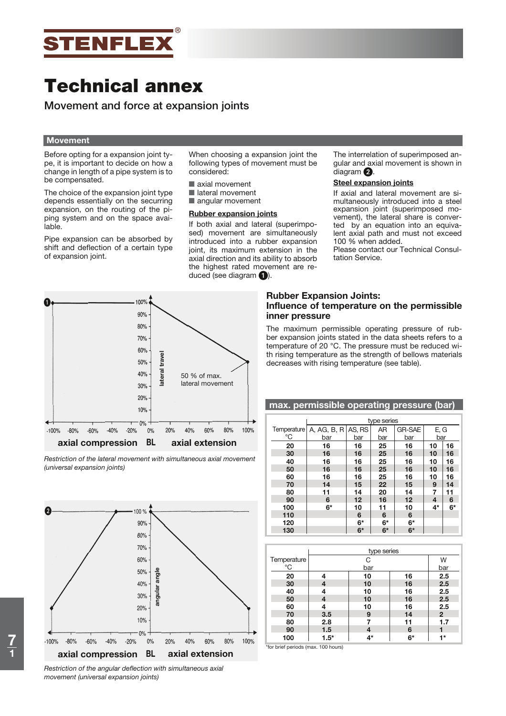

**Movement and force at expansion joints**

### **Movement**

Before opting for a expansion joint type, it is important to decide on how a change in length of a pipe system is to be compensated.

The choice of the expansion joint type depends essentially on the securring expansion, on the routing of the piping system and on the space available.

Pipe expansion can be absorbed by shift and deflection of a certain type of expansion joint.

When choosing a expansion joint the following types of movement must be considered:

- axial movement
- lateral movement
- angular movement

#### **Rubber expansion joints**

If both axial and lateral (superimposed) movement are simultaneously introduced into a rubber expansion joint, its maximum extension in the axial direction and its ability to absorb the highest rated movement are reduced (see diagram  $\bigcirc$ ).



### **Steel expansion joints**

If axial and lateral movement are simultaneously introduced into a steel expansion joint (superimposed movement), the lateral share is converted by an equation into an equivalent axial path and must not exceed 100 % when added.

Please contact our Technical Consultation Service.



*Restriction of the lateral movement with simultaneous axial movement (universal expansion joints)*



*Restriction of the angular deflection with simultaneous axial movement (universal expansion joints)*

# **Rubber Expansion Joints: Influence of temperature on the permissible inner pressure**

The maximum permissible operating pressure of rubber expansion joints stated in the data sheets refers to a temperature of 20 °C. The pressure must be reduced with rising temperature as the strength of bellows materials decreases with rising temperature (see table).

**max. permissible operating pressure (bar)**

|                   | max. Deminssible operating pressure (bar) |                                           |          |                         |             |          |  |  |  |  |  |  |
|-------------------|-------------------------------------------|-------------------------------------------|----------|-------------------------|-------------|----------|--|--|--|--|--|--|
|                   |                                           | type series                               |          |                         |             |          |  |  |  |  |  |  |
| Temperature<br>°C | bar                                       | A, AG, B, R $AS$ , RS<br>AR<br>bar<br>bar |          | <b>GR-SAE</b><br>bar    | E, G<br>bar |          |  |  |  |  |  |  |
| 20                | 16                                        | 16                                        | 25       | 16                      | 10          | 16       |  |  |  |  |  |  |
| 30<br>40          | 16<br>16                                  | 16<br>16                                  | 25<br>25 | 16<br>16                | 10<br>10    | 16<br>16 |  |  |  |  |  |  |
| 50<br>60          | 16<br>16                                  | 16<br>16                                  | 25<br>25 | 16<br>16                | 10<br>10    | 16<br>16 |  |  |  |  |  |  |
| 70                | 14                                        | 15                                        | 22       | 15                      | 9           | 14       |  |  |  |  |  |  |
| 80<br>90          | 11<br>6                                   | 14<br>$12 \overline{ }$                   | 20<br>16 | 14<br>$12 \overline{ }$ | 7<br>4      | 11<br>6  |  |  |  |  |  |  |
| 100               | 6*                                        | 10                                        | 11       | 10                      | 4*          | $6*$     |  |  |  |  |  |  |
| 110<br>120        |                                           | 6<br>$6*$                                 | 6<br>6*  | 6<br>6*                 |             |          |  |  |  |  |  |  |
| 130               |                                           | $6*$                                      | $6*$     | $6*$                    |             |          |  |  |  |  |  |  |

|             |        | type series |    |                |  |  |  |  |  |  |
|-------------|--------|-------------|----|----------------|--|--|--|--|--|--|
| Temperature |        | С           |    |                |  |  |  |  |  |  |
| °C          |        | bar         |    | bar            |  |  |  |  |  |  |
| 20          | 4      | 10          | 16 | 2.5            |  |  |  |  |  |  |
| 30          | 4      | 10          | 16 | 2.5            |  |  |  |  |  |  |
| 40          | 4      | 10          | 16 | 2.5            |  |  |  |  |  |  |
| 50          | 4      | 10          | 16 | 2.5            |  |  |  |  |  |  |
| 60          |        | 10          | 16 | 2.5            |  |  |  |  |  |  |
| 70          | 3.5    | 9           | 14 | $\overline{2}$ |  |  |  |  |  |  |
| 80          | 2.8    |             | 11 | 1.7            |  |  |  |  |  |  |
| 90          | 1.5    |             | 6  |                |  |  |  |  |  |  |
| 100         | $1.5*$ | 4*          | 6* | 1*             |  |  |  |  |  |  |

\*for brief periods (max. 100 hours)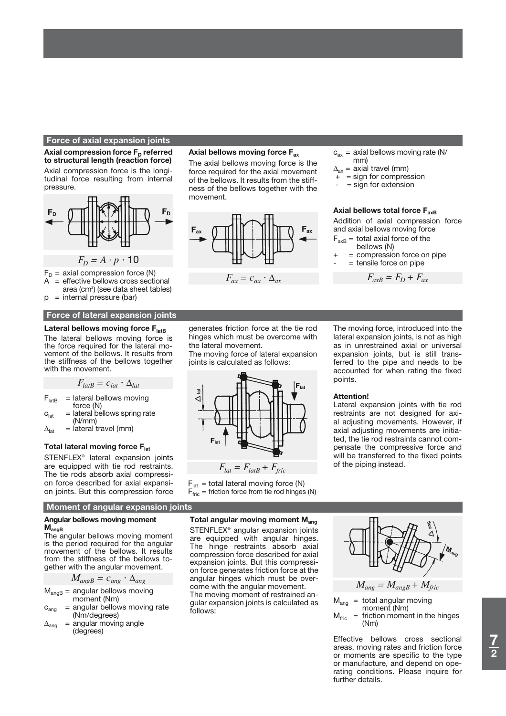#### **Force of axial expansion joints**

Axial compression force F<sub>D</sub> referred **to structural length (reaction force)** Axial compression force is the longitudinal force resulting from internal pressure.



- $F_D$  = axial compression force (N)<br>A = effective bellows cross secti
- = effective bellows cross sectional area (cm²) (see data sheet tables)
- $p =$  internal pressure (bar)

#### **Force of lateral expansion joints**

#### Lateral bellows moving force F<sub>latB</sub>

The lateral bellows moving force is the force required for the lateral movement of the bellows. It results from the stiffness of the bellows together with the movement.

$$
F_{latB} = c_{lat} \cdot \Delta_{lat}
$$

- $F_{\text{latB}}$  = lateral bellows moving force (N)
- $c<sub>lat</sub>$  = lateral bellows spring rate (N/mm)
- $\Delta_{\text{lat}}$  = lateral travel (mm)

#### **Total lateral moving force Flat**

STENFLEX® lateral expansion joints are equipped with tie rod restraints. The tie rods absorb axial compression force described for axial expansion joints. But this compression force

# **Moment of angular expansion joints**

### **Angular bellows moving moment MangB**

The angular bellows moving moment is the period required for the angular movement of the bellows. It results from the stiffness of the bellows together with the angular movement.

$$
M_{angB} = c_{ang} \cdot \Delta_{ang}
$$

 $M<sub>anqB</sub>$  = angular bellows moving moment (Nm)

- $c<sub>ana</sub>$  = angular bellows moving rate (Nm/degrees)
- $\Delta_{\text{ang}}$  = angular moving angle (degrees)

### **Axial bellows moving force Fax**

The axial bellows moving force is the force required for the axial movement of the bellows. It results from the stiffness of the bellows together with the movement.



- $c_{ax}$  = axial bellows moving rate (N/ mm)
- $\Delta_{ax}$  = axial travel (mm)<br>+ = sign for compres
- $=$  sign for compression
- = sign for extension

# **Axial bellows total force FaxB**

Addition of axial compression force and axial bellows moving force

- $F_{axB}$  = total axial force of the bellows (N)
- = compression force on pipe
- = tensile force on pipe

 $F_{axB} = F_D + F_{ax}$ 

generates friction force at the tie rod hinges which must be overcome with the lateral movement.

The moving force of lateral expansion joints is calculated as follows:



 $F_{lat} = F_{latB} + F_{fric}$ 

 $F_{lat}$  = total lateral moving force (N)  $F_{\text{fric}}$  = friction force from tie rod hinges (N)

The moving force, introduced into the lateral expansion joints, is not as high as in unrestrained axial or universal expansion joints, but is still transferred to the pipe and needs to be accounted for when rating the fixed points.

#### **Attention!**

Lateral expansion joints with tie rod restraints are not designed for axial adjusting movements. However, if axial adjusting movements are initiated, the tie rod restraints cannot compensate the compressive force and will be transferred to the fixed points of the piping instead.

# **Total angular moving moment M<sub>ang</sub>**

STENFLEX® angular expansion joints are equipped with angular hinges. The hinge restraints absorb axial compression force described for axial expansion joints. But this compression force generates friction force at the angular hinges which must be overcome with the angular movement. The moving moment of restrained angular expansion joints is calculated as follows:



$$
M_{ang} = M_{angB} + M_{fric}
$$

 $M<sub>ann</sub> = total angular moving$ moment (Nm)  $M_{\text{fric}}$  = friction moment in the hinges (Nm)

Effective bellows cross sectional areas, moving rates and friction force or moments are specific to the type or manufacture, and depend on operating conditions. Please inquire for further details.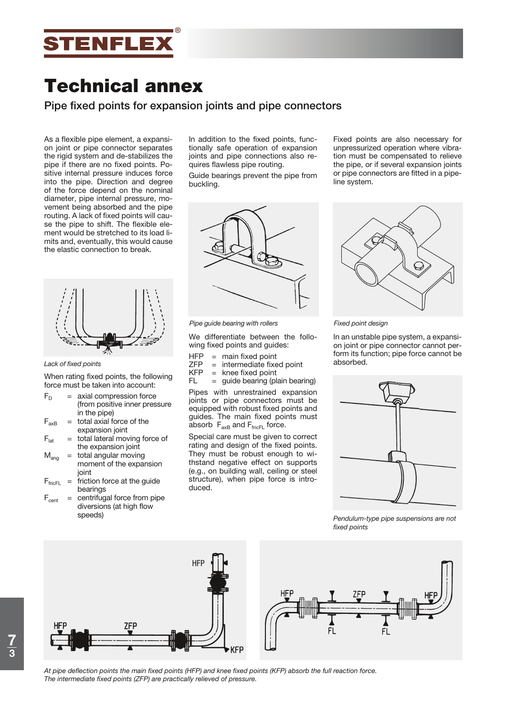

**Pipe fixed points for expansion joints and pipe connectors**

As a flexible pipe element, a expansion joint or pipe connector separates the rigid system and de-stabilizes the pipe if there are no fixed points. Positive internal pressure induces force into the pipe. Direction and degree of the force depend on the nominal diameter, pipe internal pressure, movement being absorbed and the pipe routing. A lack of fixed points will cause the pipe to shift. The flexible element would be stretched to its load limits and, eventually, this would cause the elastic connection to break.



#### *Lack of fixed points*

When rating fixed points, the following force must be taken into account:

- $F_D$  = axial compression force (from positive inner pressure in the pipe)
- $F_{axB}$  = total axial force of the expansion joint
- $F<sub>lat</sub>$  = total lateral moving force of the expansion joint
- $M<sub>ana</sub>$  = total angular moving moment of the expansion joint
- $F_{\text{fricFL}}$  = friction force at the guide bearings
- $=$  centrifugal force from pipe diversions (at high flow speeds)

In addition to the fixed points, functionally safe operation of expansion joints and pipe connections also requires flawless pipe routing.

Guide bearings prevent the pipe from buckling.



*Pipe guide bearing with rollers*

We differentiate between the following fixed points and guides:

- $HFP = \text{main fixed point}$ <br> $ZFP = \text{intermediate fixed}$
- $ZFP = intermediate fixed point$ <br> $KFP = knee fixed point$
- $=$  knee fixed point
- $FL = guide bearing (plain bearing)$

Pipes with unrestrained expansion joints or pipe connectors must be equipped with robust fixed points and guides. The main fixed points must absorb  $F_{axB}$  and  $F_{fricFL}$  force.

Special care must be given to correct rating and design of the fixed points. They must be robust enough to withstand negative effect on supports (e.g., on building wall, ceiling or steel structure), when pipe force is introduced.

Fixed points are also necessary for unpressurized operation where vibration must be compensated to relieve the pipe, or if several expansion joints or pipe connectors are fitted in a pipeline system.



*Fixed point design*

In an unstable pipe system, a expansion joint or pipe connector cannot perform its function; pipe force cannot be absorbed.



*Pendulum-type pipe suspensions are not fixed points*



*At pipe deflection points the main fixed points (HFP) and knee fixed points (KFP) absorb the full reaction force. The intermediate fixed points (ZFP) are practically relieved of pressure.*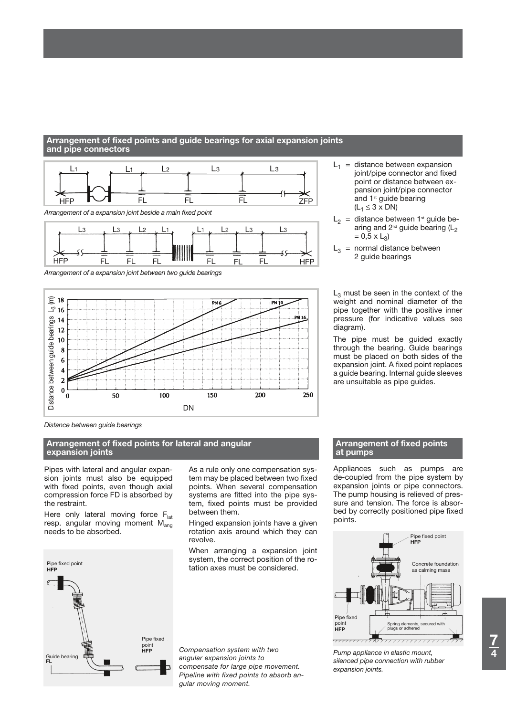# Arrangement of fixed points and guide bearings for axial expansion joints and pipe connectors



*Arrangement of a expansion joint between two guide bearings*



*Distance between guide bearings*

# **Arrangement of fixed points for lateral and angular**  $\blacksquare$  $\blacksquare$ **pensatoren expansion joints**

Pipes with lateral and angular expansion joints must also be equipped with fixed points, even though axial compression force FD is absorbed by the restraint.

Here only lateral moving force  $F_{lat}$ resp. angular moving moment  $M_{\text{ang}}$ needs to be absorbed.



As a rule only one compensation system may be placed between two fixed points. When several compensation systems are fitted into the pipe system, fixed points must be provided between them.

Hinged expansion joints have a given rotation axis around which they can revolve.

When arranging a expansion joint system, the correct position of the rotation axes must be considered.

*Compensation system with two angular expansion joints to compensate for large pipe movement. Pipeline with fixed points to absorb angular moving moment.*

- $L_1$  = distance between expansion joint/pipe connector and fixed point or distance between expansion joint/pipe connector and 1<sup>st</sup> guide bearing  $(L_1 \leq 3 \times DN)$
- $L_2$  = distance between 1<sup>st</sup> guide bearing and  $2^{nd}$  guide bearing ( $L<sub>2</sub>$  $= 0,5 \times L_3$
- $L_3$  = normal distance between 2 guide bearings

 $L_3$  must be seen in the context of the weight and nominal diameter of the pipe together with the positive inner pressure (for indicative values see diagram).

The pipe must be guided exactly through the bearing. Guide bearings must be placed on both sides of the expansion joint. A fixed point replaces a guide bearing. Internal guide sleeves are unsuitable as pipe guides.

### **Arrangement of fixed points at pumps**

Appliances such as pumps are de-coupled from the pipe system by expansion joints or pipe connectors. The pump housing is relieved of pressure and tension. The force is absorbed by correctly positioned pipe fixed points.



*Pump appliance in elastic mount, silenced pipe connection with rubber expansion joints.*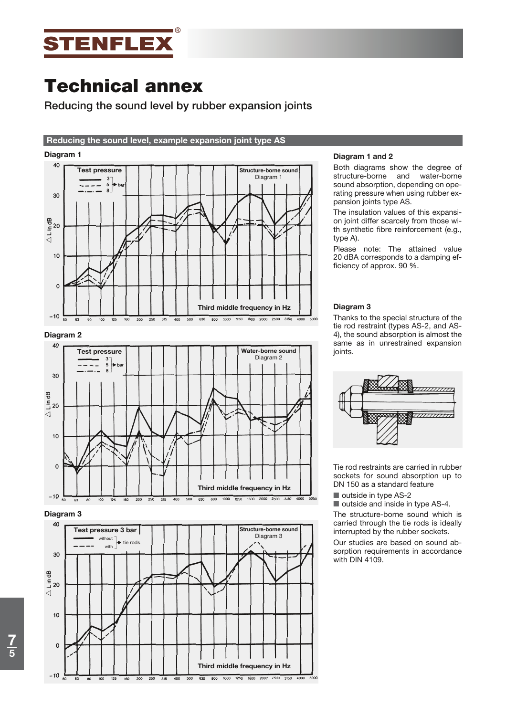

# **Reducing the sound level by rubber expansion joints**

# **Reducing the sound level, example expansion joint type AS**

# **Diagram 1**



# **Diagram 2**



# **Diagram 3**



### **Diagram 1 and 2**

Both diagrams show the degree of structure-borne and water-borne sound absorption, depending on operating pressure when using rubber expansion joints type AS.

The insulation values of this expansion joint differ scarcely from those with synthetic fibre reinforcement (e.g., type A).

Please note: The attained value 20 dBA corresponds to a damping efficiency of approx. 90 %.

### **Diagram 3**

Thanks to the special structure of the tie rod restraint (types AS-2, and AS-4), the sound absorption is almost the same as in unrestrained expansion joints.



Tie rod restraints are carried in rubber sockets for sound absorption up to DN 150 as a standard feature

outside in type AS-2

outside and inside in type AS-4.

The structure-borne sound which is carried through the tie rods is ideally interrupted by the rubber sockets.

Our studies are based on sound absorption requirements in accordance with DIN 4109.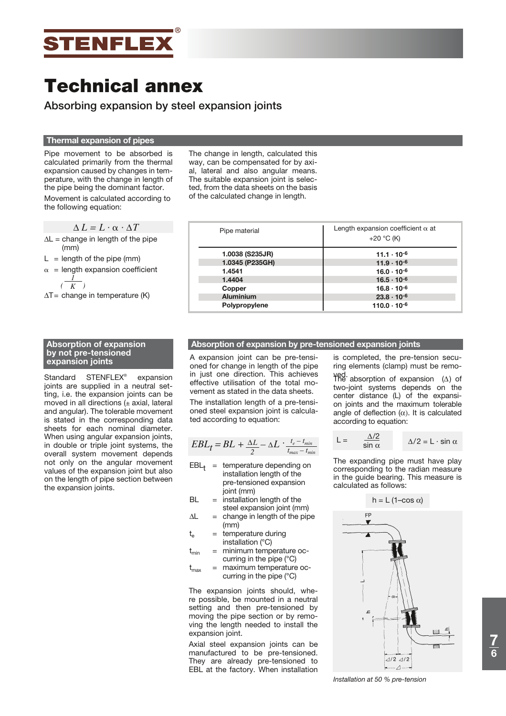

**Absorbing expansion by steel expansion joints**

# **Thermal expansion of pipes**

Pipe movement to be absorbed is calculated primarily from the thermal expansion caused by changes in temperature, with the change in length of the pipe being the dominant factor. Movement is calculated according to the following equation:

$$
\Delta L = L \cdot \alpha \cdot \Delta T
$$

- $\Delta L$  = change in length of the pipe (mm)
- $L =$  length of the pipe (mm)

$$
\alpha = length expansion coefficient
$$
  

$$
\frac{I}{K}
$$

 $\Delta T$  = change in temperature (K)

### **Absorption of expansion by not pre-tensioned expansion joints**

Standard STENFLEX<sup>®</sup> expansion joints are supplied in a neutral setting, i.e. the expansion joints can be moved in all directions  $(±$  axial, lateral and angular). The tolerable movement is stated in the corresponding data sheets for each nominal diameter. When using angular expansion joints, in double or triple joint systems, the overall system movement depends not only on the angular movement values of the expansion joint but also on the length of pipe section between the expansion joints.

The change in length, calculated this way, can be compensated for by axial, lateral and also angular means. The suitable expansion joint is selected, from the data sheets on the basis of the calculated change in length.

| Pipe material    | Length expansion coefficient $\alpha$ at<br>+20 $^{\circ}$ C (K) |
|------------------|------------------------------------------------------------------|
| 1.0038 (S235JR)  | $11.1 \cdot 10^{-6}$                                             |
| 1.0345 (P235GH)  | $11.9 \cdot 10^{-6}$                                             |
| 1.4541           | $16.0 \cdot 10^{-6}$                                             |
| 1.4404           | $16.5 \cdot 10^{-6}$                                             |
| Copper           | $16.8 \cdot 10^{-6}$                                             |
| <b>Aluminium</b> | $23.8 \cdot 10^{-6}$                                             |
| Polypropylene    | $110.0 \cdot 10^{-6}$                                            |

### **Absorption of expansion by pre-tensioned expansion joints**

A expansion joint can be pre-tensioned for change in length of the pipe in just one direction. This achieves effective utilisation of the total movement as stated in the data sheets. The installation length of a pre-tensioned steel expansion joint is calculated according to equation:

$$
EBL_t = BL + \frac{\Delta L}{2} - \Delta L \cdot \frac{t_e - t_{min}}{t_{max} - t_{min}}
$$

- $EBL_t =$  temperature depending on installation length of the pre-tensioned expansion joint (mm)
- $BL =$  installation length of the steel expansion joint (mm)
- $\Delta L$  = change in length of the pipe (mm)
- $t_{e}$  = temperature during installation (°C)
- $t_{min}$  = minimum temperature occurring in the pipe (°C)
- $t_{\text{max}}$  = maximum temperature occurring in the pipe (°C)

The expansion joints should, where possible, be mounted in a neutral setting and then pre-tensioned by moving the pipe section or by removing the length needed to install the expansion joint.

Axial steel expansion joints can be manufactured to be pre-tensioned. They are already pre-tensioned to EBL at the factory. When installation

is completed, the pre-tension securing elements (clamp) must be remo-

γed.<br>The absorption of expansion (Δ) of two-joint systems depends on the center distance (L) of the expansion joints and the maximum tolerable angle of deflection  $(\alpha)$ . It is calculated according to equation:

$$
L = \frac{\Delta/2}{\sin \alpha} \qquad \Delta/2 = L \cdot \sin \alpha
$$

The expanding pipe must have play corresponding to the radian measure in the guide bearing. This measure is calculated as follows:



*Installation at 50 % pre-tension*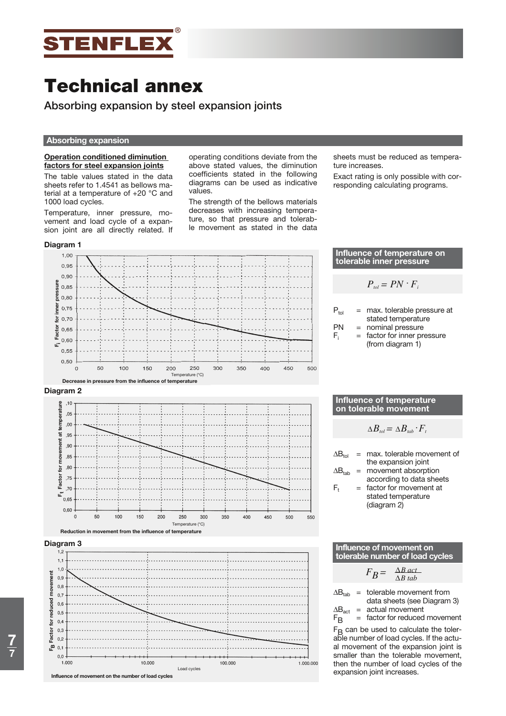

**Absorbing expansion by steel expansion joints**

#### **Absorbing expansion**

### **Operation conditioned diminution factors for steel expansion joints**

The table values stated in the data sheets refer to 1.4541 as bellows material at a temperature of +20 °C and 1000 load cycles.

Temperature, inner pressure, movement and load cycle of a expansion joint are all directly related. If

**Diagram 1**

operating conditions deviate from the above stated values, the diminution coefficients stated in the following diagrams can be used as indicative values.

The strength of the bellows materials decreases with increasing temperature, so that pressure and tolerable movement as stated in the data

sheets must be reduced as temperature increases.

Exact rating is only possible with corresponding calculating programs.



|           |     | <b>INTINGING OF ICHING QUILE ON</b><br>tolerable inner pressure |
|-----------|-----|-----------------------------------------------------------------|
|           |     |                                                                 |
|           |     | $P_{\text{tol}} = PN \cdot F_{\text{rel}}$                      |
|           |     |                                                                 |
| $P_{tol}$ |     | = max. tolerable pressure at<br>stated temperature              |
| PN        | $=$ | nominal pressure                                                |
| F,        | $=$ | factor for inner pressure<br>(from diagram 1)                   |

**Influence of temperature on** 

#### **Influence of temperature on tolerable movement**

$$
\Delta B_{\text{tol}} = \Delta B_{\text{tab}} \cdot F_{\text{t}}
$$

 $\Delta B_{\text{tol}}$  = max. tolerable movement of the expansion joint  $\Delta B_{\text{tab}}$  = movement absorption according to data sheets  $F_t$  = factor for movement at stated temperature (diagram 2)

**Influence of movement on tolerable number of load cycles**

$$
F_B = \frac{\Delta B \, act}{\Delta B \, tab}
$$

 $\Delta B_{\text{tah}}$  = tolerable movement from data sheets (see Diagram 3)

 $\Delta B_{\text{act}}$  = actual movement<br>  $F_{\text{B}}$  = factor for reduced = factor for reduced movement

 $F<sub>B</sub>$  can be used to calculate the tolerable number of load cycles. If the actual movement of the expansion joint is smaller than the tolerable movement, then the number of load cycles of the expansion joint increases.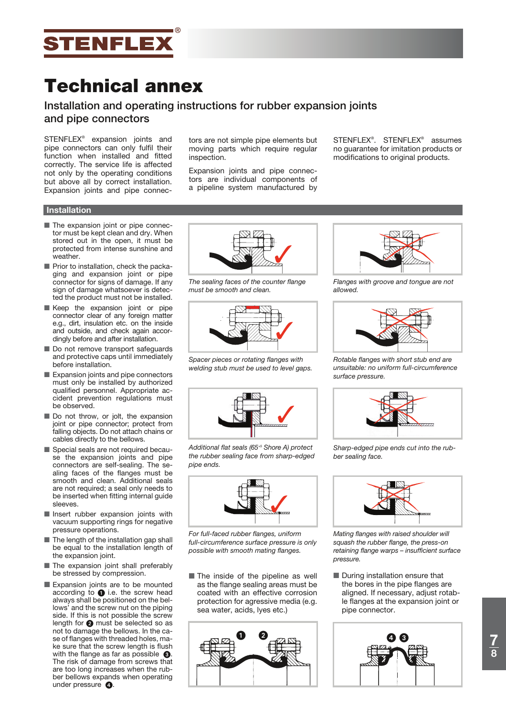

# **Installation and operating instructions for rubber expansion joints and pipe connectors**

STENFLEX® expansion joints and pipe connectors can only fulfil their function when installed and fitted correctly. The service life is affected not only by the operating conditions but above all by correct installation. Expansion joints and pipe connectors are not simple pipe elements but moving parts which require regular inspection.

Expansion joints and pipe connectors are individual components of a pipeline system manufactured by

STENFLEX® . STENFLEX® assumes no guarantee for imitation products or modifications to original products.

# **Installation**

- **The expansion joint or pipe connec**tor must be kept clean and dry. When stored out in the open, it must be protected from intense sunshine and weather.
- **Prior to installation, check the packa**ging and expansion joint or pipe connector for signs of damage. If any sign of damage whatsoever is detected the product must not be installed.
- Keep the expansion joint or pipe connector clear of any foreign matter e.g., dirt, insulation etc. on the inside and outside, and check again accordingly before and after installation.
- **Do not remove transport safeguards** and protective caps until immediately before installation.
- Expansion joints and pipe connectors must only be installed by authorized qualified personnel. Appropriate accident prevention regulations must be observed.
- **Do not throw, or jolt, the expansion** joint or pipe connector; protect from falling objects. Do not attach chains or cables directly to the bellows.
- Special seals are not required because the expansion joints and pipe connectors are self-sealing. The sealing faces of the flanges must be smooth and clean. Additional seals are not required; a seal only needs to be inserted when fitting internal guide sleeves.
- Insert rubber expansion joints with vacuum supporting rings for negative pressure operations.
- **The length of the installation gap shall** be equal to the installation length of the expansion joint.
- **The expansion joint shall preferably** be stressed by compression.
- Expansion joints are to be mounted according to  $\bigcirc$  i.e. the screw head always shall be positioned on the bellows' and the screw nut on the piping side. If this is not possible the screw length for  $\bullet$  must be selected so as not to damage the bellows. In the case of flanges with threaded holes, make sure that the screw length is flush with the flange as far as possible  $\bigcirc$ . The risk of damage from screws that are too long increases when the rubber bellows expands when operating under pressure  $\bigcirc$ .



*The sealing faces of the counter flange must be smooth and clean.*



*Spacer pieces or rotating flanges with welding stub must be used to level gaps.*



*Additional flat seals (65+5 Shore A) protect the rubber sealing face from sharp-edged pipe ends.*



*For full-faced rubber flanges, uniform full-circumference surface pressure is only possible with smooth mating flanges.*

**The inside of the pipeline as well** as the flange sealing areas must be coated with an effective corrosion protection for agressive media (e.g. sea water, acids, lyes etc.)





*Flanges with groove and tongue are not allowed.*



*Rotable flanges with short stub end are unsuitable: no uniform full-circumference surface pressure.*



*Sharp-edged pipe ends cut into the rubber sealing face.*



*Mating flanges with raised shoulder will squash the rubber flange, the press-on retaining flange warps – insufficient surface pressure.*

**During installation ensure that** the bores in the pipe flanges are aligned. If necessary, adjust rotable flanges at the expansion joint or pipe connector.

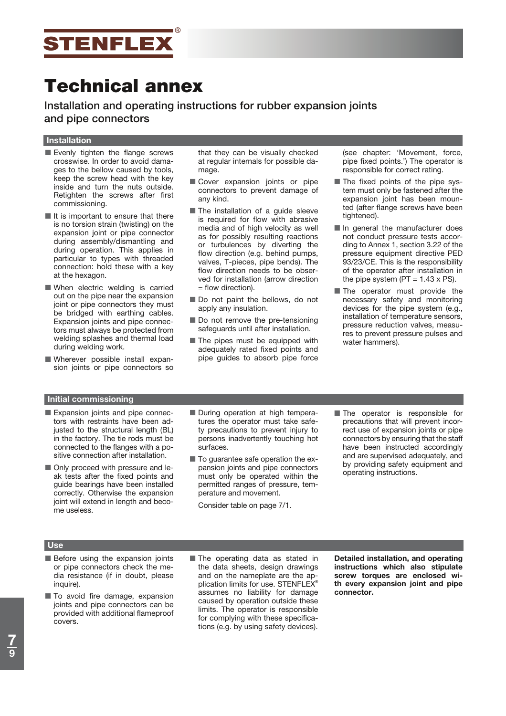

**Installation and operating instructions for rubber expansion joints and pipe connectors**

#### **Installation**

- Evenly tighten the flange screws crosswise. In order to avoid damages to the bellow caused by tools, keep the screw head with the key inside and turn the nuts outside. Retighten the screws after first commissioning.
- If is important to ensure that there is no torsion strain (twisting) on the expansion joint or pipe connector during assembly/dismantling and during operation. This applies in particular to types with threaded connection: hold these with a key at the hexagon.
- **Nen** electric welding is carried out on the pipe near the expansion joint or pipe connectors they must be bridged with earthing cables. Expansion joints and pipe connectors must always be protected from welding splashes and thermal load during welding work.
- Wherever possible install expansion joints or pipe connectors so

that they can be visually checked at regular internals for possible damage.

- **Cover expansion joints or pipe** connectors to prevent damage of any kind.
- **The installation of a guide sleeve** is required for flow with abrasive media and of high velocity as well as for possibly resulting reactions or turbulences by diverting the flow direction (e.g. behind pumps, valves, T-pieces, pipe bends). The flow direction needs to be observed for installation (arrow direction  $=$  flow direction).
- **Do not paint the bellows, do not** apply any insulation.
- **Do not remove the pre-tensioning** safeguards until after installation.
- **The pipes must be equipped with** adequately rated fixed points and pipe guides to absorb pipe force

(see chapter: 'Movement, force, pipe fixed points.') The operator is responsible for correct rating.

- **The fixed points of the pipe sys**tem must only be fastened after the expansion joint has been mounted (after flange screws have been tightened).
- In general the manufacturer does not conduct pressure tests according to Annex 1, section 3.22 of the pressure equipment directive PED 93/23/CE. This is the responsibility of the operator after installation in the pipe system ( $PT = 1.43 \times PS$ ).
- **The operator must provide the** necessary safety and monitoring devices for the pipe system (e.g., installation of temperature sensors, pressure reduction valves, measures to prevent pressure pulses and water hammers).

# **Initial commissioning**

- Expansion joints and pipe connectors with restraints have been adjusted to the structural length (BL) in the factory. The tie rods must be connected to the flanges with a positive connection after installation.
- **Only proceed with pressure and le**ak tests after the fixed points and guide bearings have been installed correctly. Otherwise the expansion joint will extend in length and become useless.
- **During operation at high tempera**tures the operator must take safety precautions to prevent injury to persons inadvertently touching hot surfaces.
- **To guarantee safe operation the ex**pansion joints and pipe connectors must only be operated within the permitted ranges of pressure, temperature and movement.

Consider table on page 7/1.

**The operator is responsible for** precautions that will prevent incorrect use of expansion joints or pipe connectors by ensuring that the staff have been instructed accordingly and are supervised adequately, and by providing safety equipment and operating instructions.

# **Nach der Montage/Während des Betriebes Use**

- **Before using the expansion joints** or pipe connectors check the media resistance (if in doubt, please inquire).
- **To avoid fire damage, expansion** joints and pipe connectors can be provided with additional flameproof covers.
- **The operating data as stated in** the data sheets, design drawings and on the nameplate are the application limits for use. STENFLEX® assumes no liability for damage caused by operation outside these limits. The operator is responsible for complying with these specifications (e.g. by using safety devices).

**Detailed installation, and operating instructions which also stipulate screw torques are enclosed with every expansion joint and pipe connector.**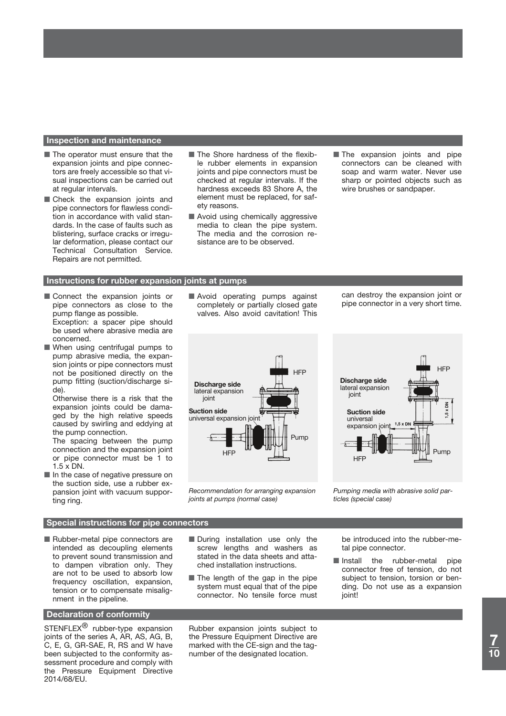### **Inspection and maintenance**

- **The operator must ensure that the** expansion joints and pipe connectors are freely accessible so that visual inspections can be carried out at regular intervals.
- **Check the expansion joints and** pipe connectors for flawless condition in accordance with valid standards. In the case of faults such as blistering, surface cracks or irregular deformation, please contact our Technical Consultation Service. Repairs are not permitted.
- **The Shore hardness of the flexib**le rubber elements in expansion joints and pipe connectors must be checked at regular intervals. If the hardness exceeds 83 Shore A, the element must be replaced, for safety reasons.
- Avoid using chemically aggressive media to clean the pipe system. The media and the corrosion resistance are to be observed.
- **The expansion joints and pipe** connectors can be cleaned with soap and warm water. Never use sharp or pointed objects such as wire brushes or sandpaper.

### **Kompetions for rubber expansion joints at pumps**

- **Connect the expansion joints or** pipe connectors as close to the pump flange as possible. Exception: a spacer pipe should be used where abrasive media are concerned.
- **Notal When using centrifugal pumps to** pump abrasive media, the expansion joints or pipe connectors must not be positioned directly on the pump fitting (suction/discharge side).

 Otherwise there is a risk that the expansion joints could be damaged by the high relative speeds caused by swirling and eddying at the pump connection.

 The spacing between the pump connection and the expansion joint or pipe connector must be 1 to 1.5 x DN.

In the case of negative pressure on the suction side, use a rubber expansion joint with vacuum supporting ring.

#### **Kompension Special instructions for pipe connectors**

■ Rubber-metal pipe connectors are intended as decoupling elements to prevent sound transmission and to dampen vibration only. They are not to be used to absorb low frequency oscillation, expansion, tension or to compensate misalignment in the pipeline.

# **Declaration of conformity**

STENFLEX<sup>®</sup> rubber-type expansion joints of the series A, AR, AS, AG, B, C, E, G, GR-SAE, R, RS and W have been subjected to the conformity assessment procedure and comply with the Pressure Equipment Directive 2014/68/EU.

Avoid operating pumps against completely or partially closed gate valves. Also avoid cavitation! This

can destroy the expansion joint or pipe connector in a very short time.



*Recommendation for arranging expansion joints at pumps (normal case)*



*Pumping media with abrasive solid particles (special case)*

**During installation use only the** screw lengths and washers as stated in the data sheets and attached installation instructions.

**The length of the gap in the pipe** system must equal that of the pipe connector. No tensile force must

Rubber expansion joints subject to the Pressure Equipment Directive are marked with the CE-sign and the tagnumber of the designated location.

be introduced into the rubber-metal pipe connector.

Install the rubber-metal pipe connector free of tension, do not subject to tension, torsion or bending. Do not use as a expansion iointl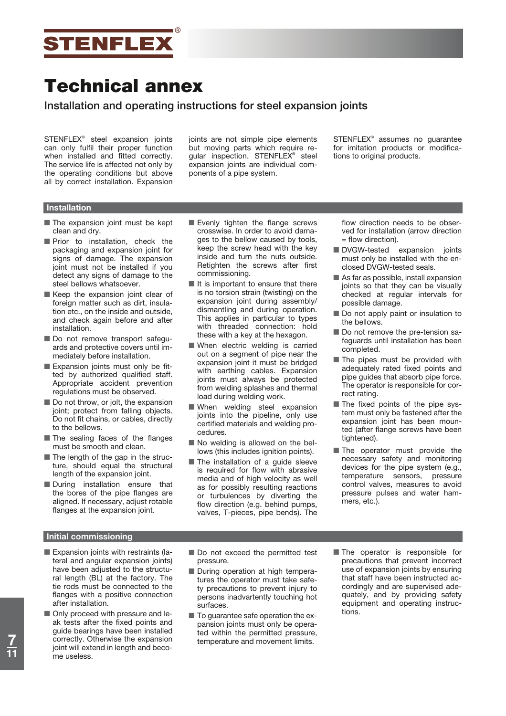

# **Installation and operating instructions for steel expansion joints**

STENFLEX® steel expansion joints can only fulfil their proper function when installed and fitted correctly. The service life is affected not only by the operating conditions but above all by correct installation. Expansion

joints are not simple pipe elements but moving parts which require regular inspection. STENFLEX® steel expansion joints are individual components of a pipe system.

STENFLEX® assumes no guarantee for imitation products or modifications to original products.

# **Installation**

- **The expansion joint must be kept** clean and dry.
- **Prior** to installation, check the packaging and expansion joint for signs of damage. The expansion joint must not be installed if you detect any signs of damage to the steel bellows whatsoever.
- Keep the expansion joint clear of foreign matter such as dirt, insulation etc., on the inside and outside, and check again before and after installation.
- **Do** not remove transport safeguards and protective covers until immediately before installation.
- Expansion joints must only be fitted by authorized qualified staff. Appropriate accident prevention regulations must be observed.
- Do not throw, or jolt, the expansion joint; protect from falling objects. Do not fit chains, or cables, directly to the bellows.
- **The sealing faces of the flanges** must be smooth and clean.
- **The length of the gap in the struc**ture, should equal the structural length of the expansion joint.
- **During installation ensure that** the bores of the pipe flanges are aligned. If necessary, adjust rotable flanges at the expansion joint.
- Evenly tighten the flange screws crosswise. In order to avoid damages to the bellow caused by tools, keep the screw head with the key inside and turn the nuts outside. Retighten the screws after first commissioning.
- If is important to ensure that there is no torsion strain (twisting) on the expansion joint during assembly/ dismantling and during operation. This applies in particular to types with threaded connection: hold these with a key at the hexagon.
- **Nominal When electric welding is carried** out on a segment of pipe near the expansion joint it must be bridged with earthing cables. Expansion joints must always be protected from welding splashes and thermal load during welding work.
- **Nimen** welding steel expansion joints into the pipeline, only use certified materials and welding procedures.
- No welding is allowed on the bellows (this includes ignition points).
- **The installation of a guide sleeve** is required for flow with abrasive media and of high velocity as well as for possibly resulting reactions or turbulences by diverting the flow direction (e.g. behind pumps, valves, T-pieces, pipe bends). The

flow direction needs to be observed for installation (arrow direction = flow direction).

- **DVGW-tested expansion joints** must only be installed with the enclosed DVGW-tested seals.
- As far as possible, install expansion joints so that they can be visually checked at regular intervals for possible damage.
- **Do not apply paint or insulation to** the bellows.
- **Do not remove the pre-tension sa**feguards until installation has been completed.
- **The pipes must be provided with** adequately rated fixed points and pipe guides that absorb pipe force. The operator is responsible for correct rating.
- **The fixed points of the pipe sys**tem must only be fastened after the expansion joint has been mounted (after flange screws have been tightened).
- **The operator must provide the** necessary safety and monitoring devices for the pipe system (e.g., temperature sensors, pressure control valves, measures to avoid pressure pulses and water hammers, etc.).

### **Initial commissioning**

- Expansion joints with restraints (lateral and angular expansion joints) have been adjusted to the structural length (BL) at the factory. The tie rods must be connected to the flanges with a positive connection after installation.
- **Only proceed with pressure and le**ak tests after the fixed points and guide bearings have been installed correctly. Otherwise the expansion joint will extend in length and become useless.
- Do not exceed the permitted test pressure.
- **During operation at high tempera**tures the operator must take safety precautions to prevent injury to persons inadvartently touching hot surfaces.
- **To guarantee safe operation the ex**pansion joints must only be operated within the permitted pressure, temperature and movement limits.
- **The operator is responsible for** precautions that prevent incorrect use of expansion joints by ensuring that staff have been instructed accordingly and are supervised adequately, and by providing safety equipment and operating instructions.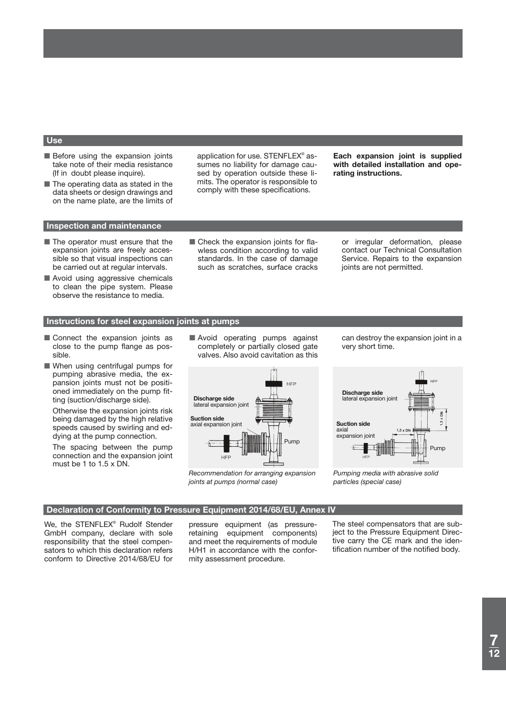### **Use**

- **Before using the expansion joints** take note of their media resistance (If in doubt please inquire).
- **The operating data as stated in the** data sheets or design drawings and on the name plate, are the limits of

application for use. STENFLEX® assumes no liability for damage caused by operation outside these limits. The operator is responsible to comply with these specifications.

**Each expansion joint is supplied with detailed installation and operating instructions.**

### **Inspection and maintenance**

- **The operator must ensure that the** expansion joints are freely accessible so that visual inspections can be carried out at regular intervals.
- Avoid using aggressive chemicals to clean the pipe system. Please observe the resistance to media.
- **Check the expansion joints for fla**wless condition according to valid standards. In the case of damage such as scratches, surface cracks

or irregular deformation, please contact our Technical Consultation Service. Repairs to the expansion joints are not permitted.

#### **Instructions for steel expansion joints at pumps**

- **Connect the expansion joints as** close to the pump flange as possible.
- When using centrifugal pumps for pumping abrasive media, the expansion joints must not be positioned immediately on the pump fitting (suction/discharge side).

 Otherwise the expansion joints risk being damaged by the high relative speeds caused by swirling and eddying at the pump connection.

 The spacing between the pump connection and the expansion joint must be 1 to 1.5 x DN.

Avoid operating pumps against completely or partially closed gate valves. Also avoid cavitation as this



*Recommendation for arranging expansion joints at pumps (normal case)*

can destroy the expansion joint in a very short time.



*Pumping media with abrasive solid particles (special case)*

#### **Declaration of Conformity to Pressure Equipment 2014/68/EU, Annex IV**

We, the STENFLEX® Rudolf Stender GmbH company, declare with sole responsibility that the steel compensators to which this declaration refers conform to Directive 2014/68/EU for

pressure equipment (as pressureretaining equipment components) and meet the requirements of module H/H1 in accordance with the conformity assessment procedure.

The steel compensators that are subject to the Pressure Equipment Directive carry the CE mark and the identification number of the notified body.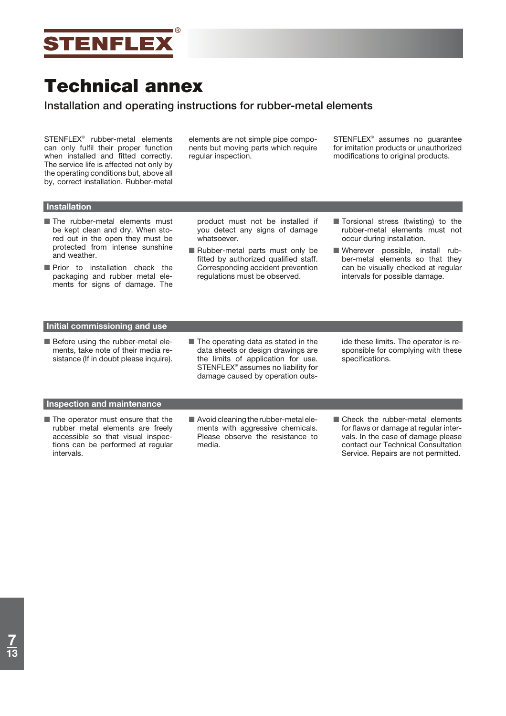

# **Installation and operating instructions for rubber-metal elements**

STENFLEX® rubber-metal elements can only fulfil their proper function when installed and fitted correctly. The service life is affected not only by the operating conditions but, above all by, correct installation. Rubber-metal

elements are not simple pipe components but moving parts which require regular inspection.

STENFLEX® assumes no guarantee for imitation products or unauthorized modifications to original products.

# **Installation**

- **The rubber-metal elements must** be kept clean and dry. When stored out in the open they must be protected from intense sunshine and weather.
- **Prior** to installation check the packaging and rubber metal elements for signs of damage. The

product must not be installed if you detect any signs of damage whatsoever.

- Rubber-metal parts must only be fitted by authorized qualified staff. Corresponding accident prevention regulations must be observed.
- **Torsional stress (twisting) to the** rubber-metal elements must not occur during installation.
- Wherever possible, install rubber-metal elements so that they can be visually checked at regular intervals for possible damage.

# **Initial commissioning and use**

- **Before using the rubber-metal ele**ments, take note of their media resistance (If in doubt please inquire).
- **The operating data as stated in the** data sheets or design drawings are the limits of application for use. STENFLEX® assumes no liability for damage caused by operation outs-

ide these limits. The operator is responsible for complying with these specifications.

# **Inspection and maintenance**

- **The operator must ensure that the** rubber metal elements are freely accessible so that visual inspections can be performed at regular intervals.
- **Avoid cleaning the rubber-metal ele**ments with aggressive chemicals. Please observe the resistance to media.
- **Check the rubber-metal elements** for flaws or damage at regular intervals. In the case of damage please contact our Technical Consultation Service. Repairs are not permitted.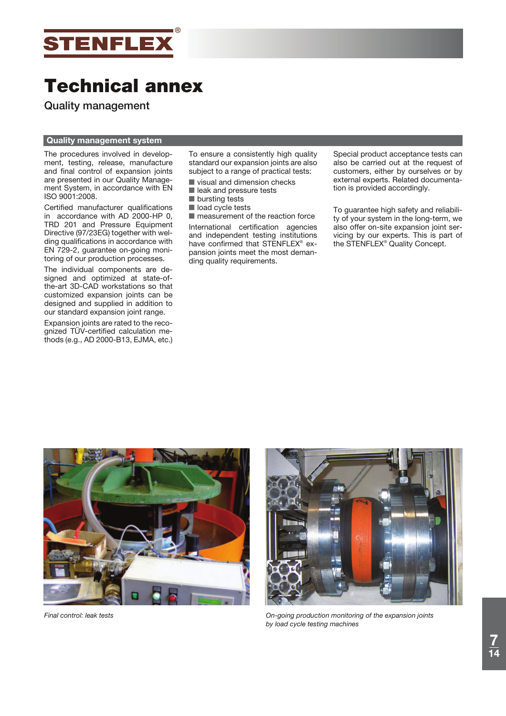

**Quality management**

# **Quality management system**

The procedures involved in development, testing, release, manufacture and final control of expansion joints are presented in our Quality Management System, in accordance with EN ISO 9001:2008.

Certified manufacturer qualifications in accordance with AD 2000-HP 0, TRD 201 and Pressure Equipment Directive (97/23EG) together with welding qualifications in accordance with EN 729-2, guarantee on-going monitoring of our production processes.

The individual components are designed and optimized at state-ofthe-art 3D-CAD workstations so that customized expansion joints can be designed and supplied in addition to our standard expansion joint range.

Expansion joints are rated to the recognized TÜV-certified calculation methods (e.g., AD 2000-B13, EJMA, etc.) To ensure a consistently high quality standard our expansion joints are also subject to a range of practical tests:

- visual and dimension checks
- lack and pressure tests
- **De** bursting tests
- load cycle tests

**n** measurement of the reaction force International certification agencies and independent testing institutions have confirmed that STENFLEX<sup>®</sup> expansion joints meet the most demanding quality requirements.

Special product acceptance tests can also be carried out at the request of customers, either by ourselves or by external experts. Related documentation is provided accordingly.

To guarantee high safety and reliability of your system in the long-term, we also offer on-site expansion joint servicing by our experts. This is part of the STENFLEX® Quality Concept.





*Final control: leak tests On-going production monitoring of the expansion joints by load cycle testing machines*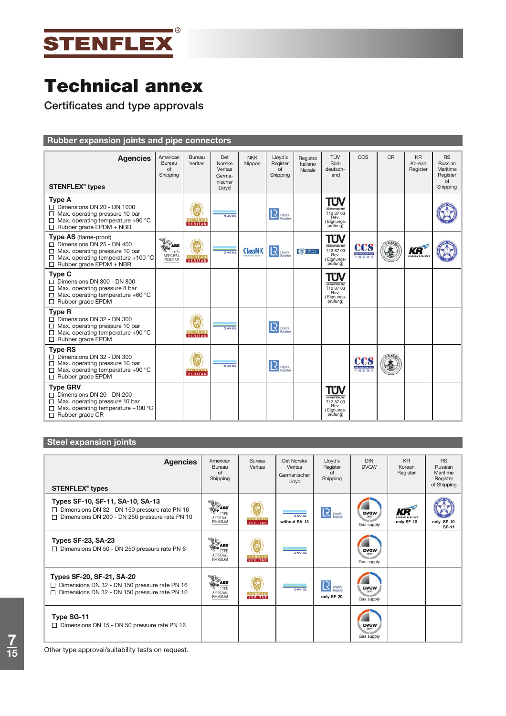

**Certificates and type approvals**

# **Rubber expansion joints and pipe connectors**

| <b>Agencies</b><br><b>STENFLEX<sup>®</sup> types</b>                                                                                                                              | American<br>Bureau<br>of<br>Shipping             | Bureau<br>Veritas               | Det<br>Norske<br>Veritas<br>Germa-<br>nischer<br>Lloyd | <b>NKK</b><br>Nippon | Lloyd's<br>Register<br>of<br>Shipping | Registro<br>Italiano<br>Navale | TÜV<br>Süd-<br>deutsch-<br>land                                            | CCS | <b>CR</b> | <b>KR</b><br>Korean<br>Register | <b>RS</b><br>Russian<br>Maritime<br>Register<br>of<br>Shipping |
|-----------------------------------------------------------------------------------------------------------------------------------------------------------------------------------|--------------------------------------------------|---------------------------------|--------------------------------------------------------|----------------------|---------------------------------------|--------------------------------|----------------------------------------------------------------------------|-----|-----------|---------------------------------|----------------------------------------------------------------|
| <b>Type A</b><br>$\Box$ Dimensions DN 20 - DN 1000<br>$\Box$ Max. operating pressure 10 bar<br>$\Box$ Max. operating temperature +90 °C<br>Rubber grade EPDM + NBR                |                                                  | <b>BUREAU</b><br><b>VERITAS</b> | <b>DNV-GL</b>                                          |                      | $\mathbf{R}$ usysts                   |                                | TÜV<br><b>SÚDDEUTSCHLAND</b><br>T12 87 03<br>Rev.<br>Eignungs-<br>prüfung) |     |           |                                 |                                                                |
| Type AS (flame-proof)<br>$\Box$ Dimensions DN 25 - DN 400<br>$\Box$ Max. operating pressure 10 bar<br>$\Box$ Max. operating temperature +100 °C<br>$\Box$ Rubber grade EPDM + NBR | <b>ALL</b><br>TYPE<br><b>APPROVAL</b><br>PROGRAM | <b>BUREAU</b><br><b>VERITAS</b> | <b>DNV-GL</b>                                          | <b>ClassNK</b>       | $\mathbf{R}$ Linyds                   | <b>CENT RINA</b>               | TÜV<br>SÚDDEUTSCHLAND<br>T12 87 03<br>Rev.<br>Eignungs-<br>prüfung)        | ccs |           | KR<br><b>KOREAN REGIST</b>      |                                                                |
| <b>Type C</b><br>$\Box$ Dimensions DN 300 - DN 800<br>$\Box$ Max. operating pressure 8 bar<br>$\Box$ Max. operating temperature +60 °C<br>$\Box$ Rubber grade EPDM                |                                                  |                                 |                                                        |                      |                                       |                                | TÜV<br><b>SÚDDEUTSCHLAND</b><br>T12 87 03<br>Rev.<br>Eignungs-<br>prüfung) |     |           |                                 |                                                                |
| <b>Type R</b><br>$\Box$ Dimensions DN 32 - DN 300<br>$\Box$ Max. operating pressure 10 bar<br>$\Box$ Max. operating temperature +90 °C<br>$\Box$ Rubber grade EPDM                |                                                  | <b>BUREAU</b><br><b>VERITAS</b> | <b>DNV-GL</b>                                          |                      | <b>R</b> Lloyd's                      |                                |                                                                            |     |           |                                 |                                                                |
| <b>Type RS</b><br>$\Box$ Dimensions DN 32 - DN 300<br>$\Box$ Max. operating pressure 10 bar<br>$\Box$ Max. operating temperature +90 °C<br>$\Box$ Rubber grade EPDM               |                                                  | <b>BUREAU</b><br><b>VERITAS</b> | <b>DNV-GL</b>                                          |                      | $\mathbf{R}$ uses                     |                                |                                                                            | ccs |           |                                 |                                                                |
| <b>Type GRV</b><br>$\Box$ Dimensions DN 20 - DN 200<br>$\Box$ Max. operating pressure 10 bar<br>Max. operating temperature +100 °C<br>$\Box$ Rubber grade CR                      |                                                  |                                 |                                                        |                      |                                       |                                | TÜV<br>SUDDEUTSCHLAND<br>T12 87 03<br>Rev.<br>Eignungs-<br>prüfung)        |     |           |                                 |                                                                |

# **Steel expansion joints**

| <b>Agencies</b><br><b>STENFLEX<sup>®</sup> types</b>                                                                                  | American<br>Bureau<br>of<br>Shipping                    | Bureau<br>Veritas               | Det Norske<br>Veritas<br>Germanischer<br>Lloyd | Llovd's<br>Register<br>Ωf<br>Shipping  | <b>DIN</b><br><b>DVGW</b>         | <b>KR</b><br>Korean<br>Register | <b>RS</b><br>Russian<br>Maritime<br>Register<br>of Shipping |
|---------------------------------------------------------------------------------------------------------------------------------------|---------------------------------------------------------|---------------------------------|------------------------------------------------|----------------------------------------|-----------------------------------|---------------------------------|-------------------------------------------------------------|
| Types SF-10, SF-11, SA-10, SA-13<br>□ Dimensions DN 32 - DN 150 pressure rate PN 16<br>Dimensions DN 200 - DN 250 pressure rate PN 10 | <b>SABS</b><br>TYPE<br><b>APPROVAL</b><br>PROGRAM       | <b>BUREAU</b><br>VERITAS        | <b>DNVGL</b><br>without SA-13                  | <b>R</b> Lioyd's                       | <b>DVGW</b><br>Gas supply         | KR<br>only SF-10                | only SF-10<br><b>SF-11</b>                                  |
| <b>Types SF-23, SA-23</b><br>$\Box$ Dimensions DN 50 - DN 250 pressure rate PN 6                                                      | $\bar{z}$ abs<br>TYPE<br><b>APPROVAL</b><br>PROGRAM     | <b>BUREAU</b><br>VERITAS        | <b>DNV-GL</b>                                  |                                        | <b>DVGW</b><br>Gas supply         |                                 |                                                             |
| Types SF-20, SF-21, SA-20<br>Dimensions DN 32 - DN 150 pressure rate PN 16<br>ப<br>Dimensions DN 32 - DN 150 pressure rate PN 10<br>п | $\frac{1}{2}$ abs<br>TYPE<br><b>APPROVAL</b><br>PROGRAM | <b>BUREAU</b><br><b>VERITAS</b> | <b>DNV-GL</b>                                  | R<br>Llayd's<br>Register<br>only SF-20 | <b>DVGW</b><br>CERT<br>Gas supply |                                 |                                                             |
| Type SG-11<br>$\Box$ Dimensions DN 15 - DN 50 pressure rate PN 16                                                                     |                                                         |                                 |                                                |                                        | <b>DVGW</b><br>Gas supply         |                                 |                                                             |

Other type approval/suitability tests on request.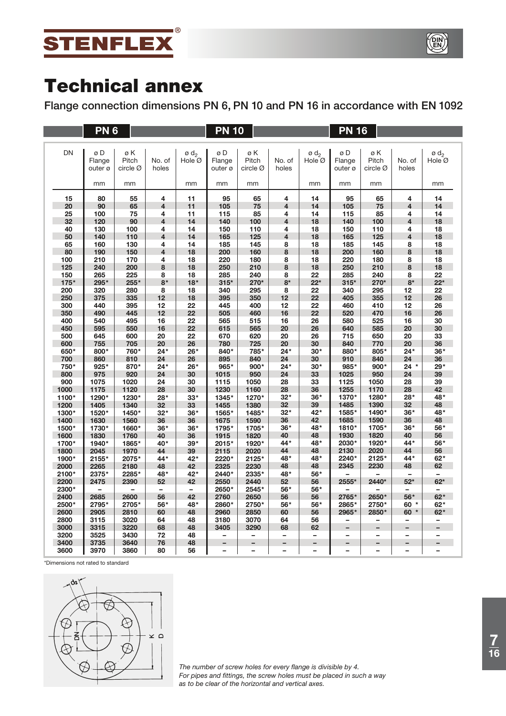



**Flange connection dimensions PN 6, PN 10 and PN 16 in accordance with EN 1092**

|             | PN <sub>6</sub>         |                                     |                         |                                      | <b>PN 10</b>            |                          |                          |                            | <b>PN 16</b>             |                          |                          |                            |
|-------------|-------------------------|-------------------------------------|-------------------------|--------------------------------------|-------------------------|--------------------------|--------------------------|----------------------------|--------------------------|--------------------------|--------------------------|----------------------------|
|             |                         |                                     |                         |                                      |                         |                          |                          |                            |                          |                          |                          |                            |
| <b>DN</b>   | øD<br>Flange<br>outer ø | øΚ<br>Pitch<br>circle $\varnothing$ | No. of<br>holes         | $\emptyset$ d <sub>2</sub><br>Hole Ø | øD<br>Flange<br>outer ø | øK<br>Pitch<br>circle Ø  | No. of<br>holes          | ø d <sub>2</sub><br>Hole Ø | øD<br>Flange<br>outer ø  | øΚ<br>Pitch<br>circle Ø  | No. of<br>holes          | ø d <sub>2</sub><br>Hole Ø |
|             | mm                      | mm                                  |                         | mm                                   | mm                      | mm                       |                          | mm                         | mm                       | mm                       |                          | mm                         |
|             | 80                      |                                     | 4                       |                                      |                         |                          | 4                        | 14                         | 95                       | 65                       | 4                        | 14                         |
| 15<br>20    | 90                      | 55<br>65                            | 4                       | 11<br>11                             | 95<br>105               | 65<br>75                 | 4                        | 14                         | 105                      | 75                       | $\overline{\mathbf{4}}$  | 14                         |
| 25          | 100                     | 75                                  | 4                       | 11                                   | 115                     | 85                       | 4                        | 14                         | 115                      | 85                       | 4                        | 14                         |
| 32          | 120                     | 90                                  | 4                       | 14                                   | 140                     | 100                      | 4                        | 18                         | 140                      | 100                      | 4                        | 18                         |
| 40          | 130                     | 100                                 | 4                       | 14                                   | 150                     | 110                      | 4                        | 18                         | 150                      | 110                      | 4                        | 18                         |
| 50          | 140                     | 110                                 | $\overline{\mathbf{4}}$ | 14                                   | 165                     | 125                      | 4                        | 18                         | 165                      | 125                      | $\overline{\mathbf{4}}$  | 18                         |
| 65          | 160                     | 130                                 | 4                       | 14                                   | 185                     | 145                      | 8                        | 18                         | 185                      | 145                      | 8                        | 18                         |
| 80          | 190                     | 150                                 | 4                       | 18                                   | 200                     | 160                      | 8                        | 18                         | 200                      | 160                      | 8                        | 18                         |
| 100         | 210                     | 170                                 | 4                       | 18                                   | 220                     | 180                      | 8                        | 18                         | 220                      | 180                      | 8                        | 18                         |
| 125         | 240                     | 200                                 | 8                       | 18                                   | 250                     | 210                      | 8                        | 18                         | 250                      | 210                      | 8                        | 18                         |
| 150         | 265                     | 225                                 | 8                       | 18                                   | 285                     | 240                      | 8                        | 22                         | 285                      | 240                      | 8                        | 22                         |
| $175*$      | 295*                    | 255*                                | $8*$                    | $18*$                                | $315*$                  | 270*                     | $8*$                     | $22*$                      | $315*$                   | 270*                     | $8*$                     | $22*$                      |
| 200         | 320                     | 280                                 | 8                       | 18                                   | 340                     | 295                      | 8                        | 22                         | 340                      | 295                      | 12                       | 22                         |
| 250         | 375                     | 335                                 | 12                      | 18                                   | 395                     | 350                      | 12                       | 22                         | 405                      | 355                      | 12                       | 26                         |
| 300         | 440                     | 395                                 | 12                      | 22                                   | 445                     | 400                      | 12                       | 22                         | 460                      | 410                      | 12                       | 26                         |
| 350         | 490                     | 445                                 | 12                      | 22                                   | 505                     | 460                      | 16                       | 22                         | 520                      | 470                      | 16                       | 26                         |
| 400         | 540                     | 495                                 | 16                      | 22                                   | 565                     | 515                      | 16                       | 26                         | 580                      | 525                      | 16                       | 30                         |
| 450         | 595                     | 550                                 | 16                      | 22                                   | 615                     | 565                      | 20                       | 26                         | 640                      | 585                      | 20                       | 30                         |
| 500         | 645                     | 600                                 | 20                      | 22                                   | 670                     | 620                      | 20                       | 26                         | 715                      | 650                      | 20                       | 33                         |
| 600         | 755                     | 705                                 | 20<br>$24*$             | 26                                   | 780                     | 725                      | 20<br>$24*$              | 30<br>$30*$                | 840<br>880*              | 770<br>805*              | 20<br>$24*$              | 36<br>$36*$                |
| 650*<br>700 | 800*<br>860             | 760*                                | 24                      | 26*<br>26                            | 840*<br>895             | 785*<br>840              | 24                       | 30                         | 910                      | 840                      | 24                       | 36                         |
| 750*        | 925*                    | 810<br>870*                         | $24*$                   | 26*                                  | 965*                    | 900*                     | $24*$                    | $30*$                      | 985*                     | 900*                     | $24 *$                   | 29*                        |
| 800         | 975                     | 920                                 | 24                      | 30                                   | 1015                    | 950                      | 24                       | 33                         | 1025                     | 950                      | 24                       | 39                         |
| 900         | 1075                    | 1020                                | 24                      | 30                                   | 1115                    | 1050                     | 28                       | 33                         | 1125                     | 1050                     | 28                       | 39                         |
| 1000        | 1175                    | 1120                                | 28                      | 30                                   | 1230                    | 1160                     | 28                       | 36                         | 1255                     | 1170                     | 28                       | 42                         |
| 1100*       | 1290*                   | 1230*                               | 28*                     | $33*$                                | 1345*                   | 1270*                    | $32*$                    | $36*$                      | 1370*                    | 1280*                    | 28*                      | 48*                        |
| 1200        | 1405                    | 1340                                | 32                      | 33                                   | 1455                    | 1380                     | 32                       | 39                         | 1485                     | 1390                     | 32                       | 48                         |
| 1300*       | 1520*                   | 1450*                               | $32*$                   | $36*$                                | 1565*                   | 1485*                    | $32*$                    | 42*                        | 1585*                    | 1490*                    | $36*$                    | 48*                        |
| 1400        | 1630                    | 1560                                | 36                      | 36                                   | 1675                    | 1590                     | 36                       | 42                         | 1685                     | 1590                     | 36                       | 48                         |
| 1500*       | 1730*                   | 1660*                               | $36*$                   | $36*$                                | 1795*                   | 1705*                    | $36*$                    | 48*                        | 1810*                    | 1705*                    | $36*$                    | 56*                        |
| 1600        | 1830                    | 1760                                | 40                      | 36                                   | 1915                    | 1820                     | 40                       | 48                         | 1930                     | 1820                     | 40                       | 56                         |
| 1700*       | 1940*                   | 1865*                               | 40*                     | $39*$                                | 2015*                   | 1920*                    | 44*                      | 48*                        | 2030*                    | 1920*                    | 44*                      | 56*                        |
| 1800        | 2045                    | 1970                                | 44                      | 39                                   | 2115                    | 2020                     | 44                       | 48                         | 2130                     | 2020                     | 44                       | 56                         |
| 1900*       | 2155*                   | 2075*                               | 44*                     | 42*                                  | 2220*                   | 2125*                    | 48*                      | 48*                        | 2240*                    | 2125*                    | 44*                      | 62*                        |
| 2000        | 2265                    | 2180                                | 48                      | 42                                   | 2325                    | 2230                     | 48                       | 48                         | 2345                     | 2230                     | 48                       | 62                         |
| 2100*       | 2375*                   | 2285*                               | 48*                     | 42*                                  | 2440*                   | 2335*                    | 48*                      | 56*                        |                          |                          | $\overline{\phantom{0}}$ | $\overline{\phantom{0}}$   |
| 2200        | 2475                    | 2390                                | 52                      | 42                                   | 2550                    | 2440                     | 52                       | 56                         | 2555*                    | 2440*                    | $52*$                    | $62*$                      |
| 2300*       |                         |                                     | $\overline{a}$          | -                                    | 2650*                   | 2545*                    | 56*                      | 56*                        |                          |                          |                          | -                          |
| 2400        | 2685                    | 2600                                | 56                      | 42                                   | 2760                    | 2650                     | 56                       | 56                         | 2765*                    | 2650*                    | 56*                      | $62*$                      |
| 2500*       | 2795*                   | 2705*                               | 56*                     | 48*                                  | 2860*                   | 2750*                    | 56*                      | 56*                        | 2865*                    | 2750*                    | $60 *$                   | 62*                        |
| 2600        | 2905                    | 2810                                | 60                      | 48                                   | 2960                    | 2850                     | 60                       | 56                         | 2965*                    | 2850*                    | 60 *                     | $62*$                      |
| 2800        | 3115                    | 3020                                | 64                      | 48                                   | 3180                    | 3070                     | 64                       | 56                         | $\equiv$                 | -                        | $\qquad \qquad -$        | -                          |
| 3000        | 3315                    | 3220                                | 68                      | 48                                   | 3405                    | 3290                     | 68                       | 62                         |                          |                          |                          |                            |
| 3200        | 3525                    | 3430                                | 72                      | 48                                   | -                       | $\overline{\phantom{0}}$ | $\overline{\phantom{0}}$ | $\overline{\phantom{0}}$   | $\overline{a}$           | $\overline{\phantom{0}}$ | $\overline{\phantom{0}}$ | $\overline{\phantom{0}}$   |
| 3400        | 3735                    | 3640                                | 76                      | 48                                   | -                       | $\qquad \qquad -$        | $\qquad \qquad -$        | -                          | $\overline{\phantom{0}}$ | -                        | -                        | -                          |
| 3600        | 3970                    | 3860                                | 80                      | 56                                   | -                       |                          |                          |                            |                          |                          |                          |                            |

\*Dimensions not rated to standard



*The number of screw holes for every flange is divisible by 4. For pipes and fittings, the screw holes must be placed in such a way as to be clear of the horizontal and vertical axes.*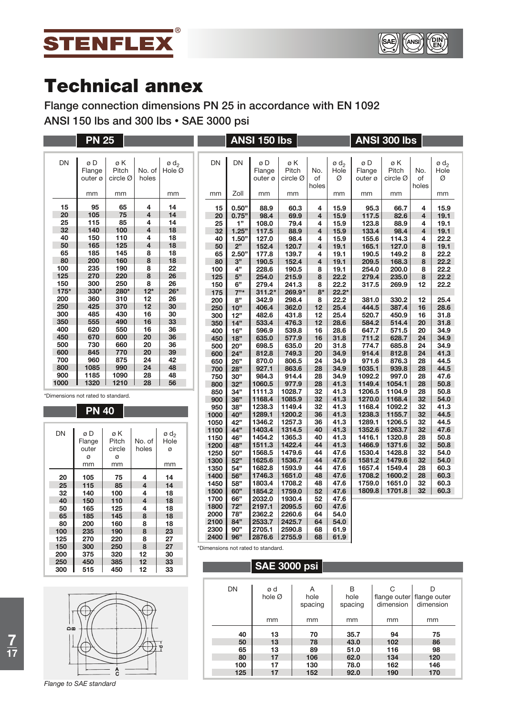



**Flange connection dimensions PN 25 in accordance with EN 1092 ANSI 150 lbs and 300 lbs • SAE 3000 psi**

|             | <b>PN 25</b>                       |                               |                         |                         |              |            | ANSI 150 lbs      |                   |                         |                            |                   | <b>ANSI 300 lbs</b>           |                         |                            |
|-------------|------------------------------------|-------------------------------|-------------------------|-------------------------|--------------|------------|-------------------|-------------------|-------------------------|----------------------------|-------------------|-------------------------------|-------------------------|----------------------------|
| <b>DN</b>   | øD                                 | øΚ                            |                         | $\sigma$ d <sub>2</sub> | <b>DN</b>    | DN         | øD                | øΚ                |                         | $\emptyset$ d <sub>2</sub> | øD                | øΚ                            |                         | $\emptyset$ d <sub>2</sub> |
|             | Flange<br>outer ø                  | Pitch<br>circle $\varnothing$ | No. of<br>holes         | Hole Ø                  |              |            | Flange<br>outer ø | Pitch<br>circle Ø | No.<br>of<br>holes      | Hole<br>Ø                  | Flange<br>outer ø | Pitch<br>circle $\varnothing$ | No.<br>of<br>holes      | Hole<br>Ø                  |
|             | mm                                 | mm                            |                         | mm                      | mm           | Zoll       | mm                | mm                |                         | mm                         | mm                | mm                            |                         | mm                         |
| 15          | 95                                 | 65                            | 4                       | 14                      | 15           | 0.50"      | 88.9              | 60.3              | 4                       | 15.9                       | 95.3              | 66.7                          | 4                       | 15.9                       |
| 20          | 105                                | 75                            | $\overline{\mathbf{4}}$ | 14                      | 20           | 0.75"      | 98.4              | 69.9              | $\overline{4}$          | 15.9                       | 117.5             | 82.6                          | $\overline{4}$          | 19.1                       |
| 25          | 115                                | 85                            | 4                       | 14                      | 25           | 1"         | 108.0             | 79.4              | 4                       | 15.9                       | 123.8             | 88.9                          | 4                       | 19.1                       |
| 32          | 140                                | 100                           | $\overline{\mathbf{4}}$ | 18                      | 32           | 1.25"      | 117.5             | 88.9              | $\overline{4}$          | 15.9                       | 133.4             | 98.4                          | $\overline{\mathbf{4}}$ | 19.1                       |
| 40          | 150                                | 110                           | 4                       | 18                      | 40           | 1.50"      | 127.0             | 98.4              | 4                       | 15.9                       | 155.6             | 114.3                         | 4                       | 22.2                       |
| 50          | 165                                | 125                           | 4                       | 18                      | 50           | 2"         | 152.4             | 120.7             | 4                       | 19.1                       | 165.1             | 127.0                         | 8                       | 19.1                       |
| 65          | 185                                | 145                           | 8                       | 18                      | 65           | 2.50"      | 177.8             | 139.7             | 4                       | 19.1                       | 190.5             | 149.2                         | 8                       | 22.2                       |
| 80          | 200                                | 160                           | 8                       | 18                      | 80           | 3"         | 190.5             | 152.4             | $\overline{\mathbf{4}}$ | 19.1                       | 209.5             | 168.3                         | 8                       | 22.2                       |
| 100         | 235                                | 190                           | 8                       | 22                      | 100          | 4"         | 228.6             | 190.5             | 8                       | 19.1                       | 254.0             | 200.0                         | 8                       | 22.2                       |
| 125         | 270                                | 220                           | 8                       | 26                      | 125          | 5"         | 254.0             | 215.9             | 8                       | 22.2                       | 279.4             | 235.0                         | 8                       | 22.2                       |
| 150<br>175* | 300<br>330*                        | 250<br>280*                   | 8<br>$12*$              | 26<br>$26*$             | 150          | 6"         | 279.4             | 241.3             | 8                       | 22.2                       | 317.5             | 269.9                         | 12                      | 22.2                       |
| 200         | 360                                | 310                           | 12                      | 26                      | 175          | 7"         | $311.2*$          | 269.9*            | $8*$                    | $22.2*$                    |                   |                               |                         |                            |
| 250         | 425                                | 370                           | 12                      | 30                      | 200          | 8"<br>10"  | 342.9<br>406.4    | 298.4<br>362.0    | 8<br>12                 | 22.2<br>25.4               | 381.0<br>444.5    | 330.2<br>387.4                | 12<br>16                | 25.4<br>28.6               |
| 300         | 485                                | 430                           | 16                      | 30                      | 250<br>300   | 12"        | 482.6             | 431.8             | 12                      | 25.4                       | 520.7             | 450.9                         | 16                      | 31.8                       |
| 350         | 555                                | 490                           | 16                      | 33                      | 350          | 14"        | 533.4             | 476.3             | 12                      | 28.6                       | 584.2             | 514.4                         | 20                      | 31.8                       |
| 400         | 620                                | 550                           | 16                      | 36                      | 400          | 16"        | 596.9             | 539.8             | 16                      | 28.6                       | 647.7             | 571.5                         | 20                      | 34.9                       |
| 450         | 670                                | 600                           | 20                      | 36                      | 450          | 18"        | 635.0             | 577.9             | 16                      | 31.8                       | 711.2             | 628.7                         | 24                      | 34.9                       |
| 500         | 730                                | 660                           | 20                      | 36                      | 500          | 20"        | 698.5             | 635.0             | 20                      | 31.8                       | 774.7             | 685.8                         | 24                      | 34.9                       |
| 600         | 845                                | 770                           | 20                      | 39                      | 600          | 24"        | 812.8             | 749.3             | 20                      | 34.9                       | 914.4             | 812.8                         | 24                      | 41.3                       |
| 700         | 960                                | 875                           | 24                      | 42                      | 650          | 26"        | 870.0             | 806.5             | 24                      | 34.9                       | 971.6             | 876.3                         | 28                      | 44.5                       |
| 800         | 1085                               | 990                           | 24                      | 48                      | 700          | 28"        | 927.1             | 863.6             | 28                      | 34.9                       | 1035.1            | 939.8                         | 28                      | 44.5                       |
| 900         | 1185                               | 1090                          | 28                      | 48                      | 750          | 30"        | 984.3             | 914.4             | 28                      | 34.9                       | 1092.2            | 997.0                         | 28                      | 47.6                       |
| 1000        | 1320                               | 1210                          | 28                      | 56                      | 800          | 32"        | 1060.5            | 977.9             | 28                      | 41.3                       | 1149.4            | 1054.1                        | 28                      | 50.8                       |
|             | *Dimensions not rated to standard. |                               |                         |                         | 850          | 34"        | 1111.3            | 1028.7            | 32                      | 41.3                       | 1206.5            | 1104.9                        | 28                      | 50.8                       |
|             |                                    |                               |                         |                         | 900          | 36"        | 1168.4            | 1085.9            | 32                      | 41.3                       | 1270.0            | 1168.4                        | 32                      | 54.0                       |
|             | <b>PN 40</b>                       |                               |                         |                         | 950          | 38"        | 1238.3            | 1149.4            | 32                      | 41.3                       | 1168.4            | 1092.2                        | 32                      | 41.3                       |
|             |                                    |                               |                         |                         | 1000         | 40"        | 1289.1            | 1200.2            | 36                      | 41.3                       | 1238.3            | 1155.7                        | 32                      | 44.5                       |
|             |                                    |                               |                         |                         | 1050         | 42"        | 1346.2            | 1257.3            | 36                      | 41.3                       | 1289.1            | 1206.5                        | 32                      | 44.5                       |
| DN          | øD                                 | øΚ                            |                         | ø d <sub>2</sub>        | 1100         | 44"        | 1403.4            | 1314.5            | 40                      | 41.3                       | 1352.6            | 1263.7                        | 32                      | 47.6                       |
|             | Flange                             | Pitch                         | No. of                  | Hole                    | 1150         | 46"        | 1454.2            | 1365.3            | 40                      | 41.3                       | 1416.1            | 1320.8                        | 28                      | 50.8                       |
|             | outer                              | circle                        | holes                   | Ø                       | 1200         | 48"        | 1511.3            | 1422.4            | 44                      | 41.3                       | 1466.9            | 1371.6                        | 32                      | 50.8                       |
|             | Ø                                  | Ø                             |                         |                         | 1250         | 50"        | 1568.5            | 1479.6            | 44                      | 47.6                       | 1530.4            | 1428.8                        | 32                      | 54.0                       |
|             | mm                                 | mm                            |                         | mm                      | 1300         | 52"        | 1625.6            | 1536.7            | 44                      | 47.6                       | 1581.2            | 1479.6                        | 32                      | 54.0                       |
|             |                                    |                               |                         |                         | 1350<br>1400 | 54"<br>56" | 1682.8<br>1746.3  | 1593.9<br>1651.0  | 44<br>48                | 47.6<br>47.6               | 1657.4<br>1708.2  | 1549.4<br>1600.2              | 28<br>28                | 60.3<br>60.3               |
| 20          | 105                                | 75                            | 4                       | 14                      | 1450         | 58"        | 1803.4            | 1708.2            | 48                      | 47.6                       | 1759.0            | 1651.0                        | 32                      | 60.3                       |
| 25          | 115                                | 85                            | 4                       | 14                      | 1500         | 60"        | 1854.2            | 1759.0            | 52                      | 47.6                       | 1809.8            | 1701.8                        | 32                      | 60.3                       |
| 32          | 140                                | 100                           | 4                       | 18                      | 1700         | 66"        | 2032.0            | 1930.4            | 52                      | 47.6                       |                   |                               |                         |                            |
| 40<br>50    | 150<br>165                         | 110<br>125                    | 4<br>4                  | 18<br>18                | 1800         | 72"        | 2197.1            | 2095.5            | 60                      | 47.6                       |                   |                               |                         |                            |
| 65          | 185                                | 145                           | 8                       | 18                      | 2000         | 78"        | 2362.2            | 2260.6            | 64                      | 54.0                       |                   |                               |                         |                            |
| 80          | 200                                | 160                           | 8                       | 18                      | 2100         | 84"        | 2533.7            | 2425.7            | 64                      | 54.0                       |                   |                               |                         |                            |
| 100         | 235                                | 190                           | 8                       | 23                      | 2300         | 90"        | 2705.1            | 2590.8            | 68                      | 61.9                       |                   |                               |                         |                            |
| 125         | 270                                | 220                           | 8                       | 27                      | 2400         | 96"        | 2876.6            | 2755.9            | 68                      | 61.9                       |                   |                               |                         |                            |

\*Dimensions not rated to standard.

# **SAE 3000 psi**

| DN  | ød<br>hole $\varnothing$ | Α<br>hole<br>spacing | B<br>hole<br>spacing | С<br>dimension | flange outer flange outer<br>dimension |
|-----|--------------------------|----------------------|----------------------|----------------|----------------------------------------|
|     | mm                       | mm                   | mm                   | mm             | mm                                     |
| 40  | 13                       | 70                   | 35.7                 | 94             | 75                                     |
| 50  | 13                       | 78                   | 43.0                 | 102            | 86                                     |
| 65  | 13                       | 89                   | 51.0                 | 116            | 98                                     |
| 80  | 17                       | 106                  | 62.0                 | 134            | 120                                    |
| 100 | 17                       | 130                  | 78.0                 | 162            | 146                                    |
| 125 | 17                       | 152                  | 92.0                 | 190            | 170                                    |

| ്മ |  |
|----|--|
|    |  |
|    |  |

*Flange to SAE standard*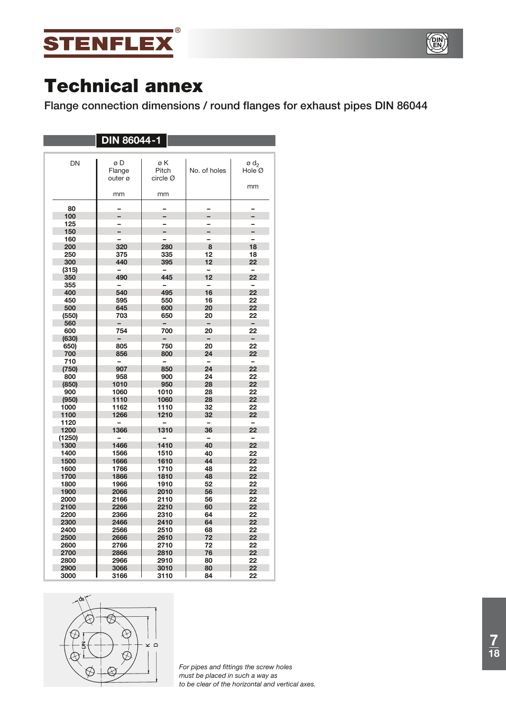



**Flange connection dimensions / round flanges for exhaust pipes DIN 86044**

|              | <b>DIN 86044-1</b>       |                          |                          |                                 |
|--------------|--------------------------|--------------------------|--------------------------|---------------------------------|
|              |                          |                          |                          |                                 |
| DN           | øD<br>Flange<br>outer ø  | øΚ<br>Pitch<br>circle Ø  | No. of holes             | ød <sub>2</sub><br>Hole Ø<br>mm |
|              | mm                       | mm                       |                          |                                 |
| 80           |                          |                          |                          |                                 |
| 100          |                          |                          |                          |                                 |
| 125          |                          |                          |                          |                                 |
| 150          |                          |                          |                          | $\overline{a}$                  |
| 160          |                          |                          |                          |                                 |
| 200          | 320                      | 280                      | 8                        | 18                              |
| 250          | 375                      | 335                      | 12                       | 18                              |
| 300          | 440                      | 395                      | 12                       | 22                              |
| (315)        |                          |                          |                          |                                 |
| 350          | 490                      | 445                      | 12                       | 22                              |
| 355          |                          | $\overline{\phantom{0}}$ | $\overline{\phantom{0}}$ | $\equiv$                        |
| 400          | 540                      | 495                      | 16                       | 22                              |
| 450          | 595                      | 550                      | 16                       | 22                              |
| 500          | 645                      | 600                      | 20                       | 22                              |
| (550)        | 703                      | 650                      | 20                       | 22                              |
| 560          |                          |                          |                          | $\overline{\phantom{0}}$        |
| 600          | 754                      | 700                      | 20                       | 22                              |
| (630)        |                          |                          |                          | $\overline{\phantom{0}}$        |
| 650)         | 805                      | 750                      | 20                       | 22                              |
| 700          | 856                      | 800                      | 24                       | 22                              |
| 710          |                          | $\equiv$                 | $\overline{\phantom{0}}$ | $\overline{\phantom{0}}$        |
| (750)        | 907                      | 850                      | 24                       | 22                              |
| 800          | 958                      | 900                      | 24                       | 22                              |
| (850)        | 1010                     | 950                      | 28                       | 22                              |
| 900          | 1060                     | 1010                     | 28                       | 22                              |
| (950)        | 1110                     | 1060                     | 28                       | 22                              |
| 1000         | 1162                     | 1110                     | 32                       | 22                              |
| 1100         | 1266                     | 1210                     | 32                       | 22                              |
| 1120         | $\overline{\phantom{0}}$ | $\overline{a}$           | -                        | -                               |
| 1200         | 1366                     | 1310                     | 36                       | 22                              |
| (1250)       |                          |                          | -                        | -                               |
| 1300         | 1466                     | 1410                     | 40                       | 22                              |
| 1400         | 1566                     | 1510                     | 40                       | 22                              |
| 1500         | 1666                     | 1610                     | 44                       | 22                              |
| 1600         | 1766                     | 1710                     | 48                       | 22                              |
| 1700         | 1866                     | 1810                     | 48                       | 22                              |
| 1800         | 1966                     | 1910                     | 52                       | 22                              |
| 1900         | 2066                     | 2010                     | 56                       | 22                              |
| 2000         | 2166                     | 2110                     | 56                       | 22                              |
| 2100         | 2266                     | 2210                     | 60                       | 22                              |
| 2200<br>2300 | 2366                     | 2310                     | 64                       | 22<br>22                        |
|              | 2466                     | 2410                     | 64                       | 22                              |
| 2400<br>2500 | 2566<br>2666             | 2510<br>2610             | 68<br>72                 | 22                              |
|              |                          |                          | 72                       | 22                              |
| 2600         | 2766<br>2866             | 2710                     |                          | 22                              |
| 2700<br>2800 | 2966                     | 2810<br>2910             | 76<br>80                 | 22                              |
| 2900         | 3066                     | 3010                     | 80                       | 22                              |
| 3000         | 3166                     | 3110                     | 84                       | 22                              |



*For pipes and fittings the screw holes must be placed in such a way as to be clear of the horizontal and vertical axes.*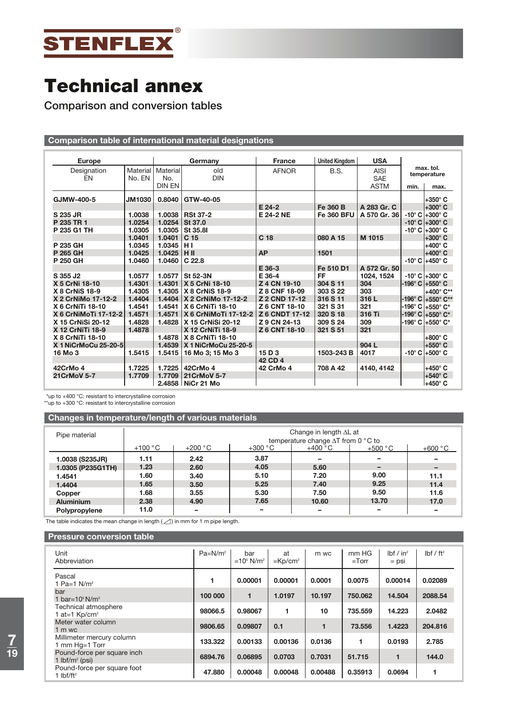

**Comparison and conversion tables**

# **Comparison table of international material designations**

| <b>Europe</b>         |               |                            | Germany                     | <b>France</b>         | <b>United Kingdom</b> | <b>USA</b>                |      |                                     |
|-----------------------|---------------|----------------------------|-----------------------------|-----------------------|-----------------------|---------------------------|------|-------------------------------------|
| Designation<br>EN     | No. EN        | Material   Material<br>No. | old<br><b>DIN</b>           | <b>AFNOR</b>          | B.S.                  | <b>AISI</b><br><b>SAE</b> |      | max. tol.<br>temperature            |
|                       |               | <b>DIN EN</b>              |                             |                       |                       | <b>ASTM</b>               | min. | max.                                |
| GJMW-400-5            | <b>JM1030</b> | 0.8040                     | GTW-40-05                   |                       |                       |                           |      | $+350^\circ$ C                      |
|                       |               |                            |                             | $E$ 24-2              | Fe 360 B              | A 283 Gr. C               |      | $+300^\circ$ C                      |
| S 235 JR              | 1.0038        | 1.0038                     | <b>RSt 37-2</b>             | E 24-2 NE             | <b>Fe 360 BFU</b>     | A 570 Gr. 36              |      | $-10^{\circ}$ C $+300^{\circ}$ C    |
| P 235 TR 1            | 1.0254        | 1.0254                     | St 37.0                     |                       |                       |                           |      | $-10^{\circ}$ C $+300^{\circ}$ C    |
| P 235 G1 TH           | 1.0305        | 1.0305                     | St 35.81                    |                       |                       |                           |      | $-10^{\circ}$ C $+300^{\circ}$ C    |
|                       | 1.0401        | 1.0401                     | C <sub>15</sub>             | C <sub>18</sub>       | 080 A 15              | M 1015                    |      | $+300^\circ$ C                      |
| P 235 GH              | 1.0345        | 1.0345                     | HI                          |                       |                       |                           |      | +400° C                             |
| P 265 GH              | 1.0425        | $1.0425$ H II              |                             | <b>AP</b>             | 1501                  |                           |      | $+400^{\circ}$ C                    |
| P 250 GH              | 1.0460        | 1.0460                     | C <sub>22.8</sub>           |                       |                       |                           |      | $-10^{\circ}$ C $+450^{\circ}$ C    |
|                       |               |                            |                             | E 36-3                | Fe 510 D1             | A 572 Gr. 50              |      |                                     |
| S 355 J <sub>2</sub>  | 1.0577        | 1.0577                     | St 52-3N                    | E 36-4                | FF                    | 1024, 1524                |      | -10° C +300° C                      |
| X 5 CrNi 18-10        | 1.4301        | 1.4301                     | X 5 CrNi 18-10              | Z 4 CN 19-10          | 304 S 11              | 304                       |      | -196 $^{\circ}$ C +550 $^{\circ}$ C |
| <b>X 8 CrNiS 18-9</b> | 1.4305        | 1.4305                     | <b>X 8 CrNiS 18-9</b>       | Z 8 CNF 18-09         | 303 S 22              | 303                       |      | +400° C**                           |
| X 2 CrNiMo 17-12-2    | 1.4404        | 1.4404                     | X 2 CrNiMo 17-12-2          | Z 2 CND 17-12         | 316 S 11              | 316L                      |      | -196° C +550° C**                   |
| X 6 CrNiTi 18-10      | 1.4541        | 1.4541                     | X 6 CrNiTi 18-10            | Z 6 CNT 18-10         | 321 S 31              | 321                       |      | -196°C +550°C*                      |
| X 6 CrNiMoTi 17-12-2  | 1.4571        | 1.4571                     | <b>X 6 CrNiMoTi 17-12-2</b> | <b>Z 6 CNDT 17-12</b> | 320 S 18              | 316 Ti                    |      | $-196^{\circ}$ C $+550^{\circ}$ C*  |
| X 15 CrNiSi 20-12     | 1.4828        | 1.4828                     | X 15 CrNiSi 20-12           | Z 9 CN 24-13          | 309 S 24              | 309                       |      | -196° C  +550° C*                   |
| X 12 CrNiTi 18-9      | 1.4878        |                            | X 12 CrNiTi 18-9            | Z 6 CNT 18-10         | 321 S 51              | 321                       |      |                                     |
| X 8 CrNiTi 18-10      |               | 1.4878                     | X 8 CrNiTi 18-10            |                       |                       |                           |      | +800° C                             |
| X 1 NiCrMoCu 25-20-5  |               | 1.4539                     | X 1 NiCrMoCu 25-20-5        |                       |                       | 904 L                     |      | +550°C                              |
| 16 Mo 3               | 1.5415        | 1.5415                     | 16 Mo 3; 15 Mo 3            | 15 D 3                | 1503-243 B            | 4017                      |      | $-10^{\circ}$ C $+500^{\circ}$ C    |
|                       |               |                            |                             | 42 CD 4               |                       |                           |      |                                     |
| 42CrMo 4              | 1.7225        | 1.7225                     | 42CrMo 4                    | 42 CrMo 4             | 708 A 42              | 4140, 4142                |      | $+450^\circ$ C                      |
| <b>21CrMoV 5-7</b>    | 1.7709        | 1.7709                     | 21CrMoV 5-7                 |                       |                       |                           |      | l+540° C                            |
|                       |               |                            | 2.4858 NiCr 21 Mo           |                       |                       |                           |      | l+450° C                            |

\*up to +400 °C: resistant to intercrystalline corrosion \*\*up to +300 °C: resistant to intercrystalline corrosion

**Changes in temperature/length of various materials**

| Pipe material     | Change in length $\Delta L$ at<br>temperature change $\Delta T$ from 0 °C to |           |           |                 |           |           |  |
|-------------------|------------------------------------------------------------------------------|-----------|-----------|-----------------|-----------|-----------|--|
|                   | $+100 °C$                                                                    | $+200 °C$ | $+300 °C$ | $+400\degree$ C | $+500 °C$ | $+600 °C$ |  |
| 1.0038 (S235JR)   | 1.11                                                                         | 2.42      | 3.87      |                 |           |           |  |
| 1.0305 (P235G1TH) | 1.23                                                                         | 2.60      | 4.05      | 5.60            |           |           |  |
| 1.4541            | 1.60                                                                         | 3.40      | 5.10      | 7.20            | 9.00      | 11.1      |  |
| 1.4404            | 1.65                                                                         | 3.50      | 5.25      | 7.40            | 9.25      | 11.4      |  |
| Copper            | 1.68                                                                         | 3.55      | 5.30      | 7.50            | 9.50      | 11.6      |  |
| <b>Aluminium</b>  | 2.38                                                                         | 4.90      | 7.65      | 10.60           | 13.70     | 17.0      |  |
| Polypropylene     | 11.0                                                                         | -         | -         | -               | -         |           |  |

The table indicates the mean change in length  $(\angle)$  in mm for 1 m pipe length.

### **Pressure conversion table**

| Unit<br>Abbreviation                                         | $Pa = N/m2$ | bar<br>$=10^5$ N/m <sup>2</sup> | at<br>$=$ Kp/cm <sup>2</sup> | m wc    | mm HG<br>$=$ Torr | Ibf / in <sup>2</sup><br>$=$ psi | $I\flat f$ / ft <sup>2</sup> |
|--------------------------------------------------------------|-------------|---------------------------------|------------------------------|---------|-------------------|----------------------------------|------------------------------|
| Pascal<br>1 Pa=1 $N/m^2$                                     | 1           | 0.00001                         | 0.00001                      | 0.0001  | 0.0075            | 0.00014                          | 0.02089                      |
| bar<br>1 bar= $10^5$ N/m <sup>2</sup>                        | 100 000     | 1                               | 1.0197                       | 10.197  | 750.062           | 14.504                           | 2088.54                      |
| Technical atmosphere<br>1 at=1 $\text{Kp/cm}^2$              | 98066.5     | 0.98067                         |                              | 10      | 735.559           | 14.223                           | 2.0482                       |
| Meter water column<br>1 m wc                                 | 9806.65     | 0.09807                         | 0.1                          | 1       | 73.556            | 1.4223                           | 204.816                      |
| Millimeter mercury column<br>1 mm Hg=1 Torr                  | 133.322     | 0.00133                         | 0.00136                      | 0.0136  | 1                 | 0.0193                           | 2.785                        |
| Pound-force per square inch<br>1 $lbf/m^2$ (psi)             | 6894.76     | 0.06895                         | 0.0703                       | 0.7031  | 51.715            | 1                                | 144.0                        |
| Pound-force per square foot<br>1 $I\bf{b}$ f/ft <sup>2</sup> | 47.880      | 0.00048                         | 0.00048                      | 0.00488 | 0.35913           | 0.0694                           |                              |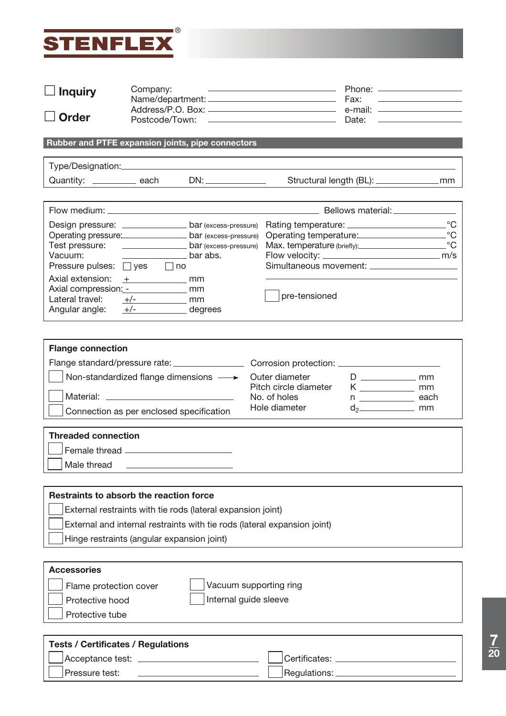

Pressure test:

| <b>Inquiry</b>             | Company:                                         |                                                                          |                                                        | Phone: <u>__________________</u>                |                                                                                 |  |
|----------------------------|--------------------------------------------------|--------------------------------------------------------------------------|--------------------------------------------------------|-------------------------------------------------|---------------------------------------------------------------------------------|--|
|                            |                                                  |                                                                          |                                                        | Fax:                                            | the contract of the contract of the contract of the contract of the contract of |  |
| <b>Order</b>               |                                                  |                                                                          |                                                        |                                                 |                                                                                 |  |
|                            |                                                  |                                                                          |                                                        |                                                 |                                                                                 |  |
|                            |                                                  | Rubber and PTFE expansion joints, pipe connectors                        |                                                        |                                                 |                                                                                 |  |
|                            |                                                  |                                                                          |                                                        |                                                 |                                                                                 |  |
|                            |                                                  | Quantity: __________ each DN: ___________                                |                                                        |                                                 |                                                                                 |  |
|                            |                                                  |                                                                          |                                                        |                                                 |                                                                                 |  |
|                            |                                                  |                                                                          |                                                        | Bellows material: _______________               |                                                                                 |  |
|                            |                                                  | Design pressure: ________________ bar (excess-pressure)                  |                                                        |                                                 |                                                                                 |  |
|                            |                                                  | Operating pressure: bar (excess-pressure)                                | Operating temperature: C                               |                                                 |                                                                                 |  |
|                            |                                                  | Test pressure: <u>_________________</u> bar (excess-pressure)            | Max. temperature (briefly): C                          |                                                 |                                                                                 |  |
| Vacuum:                    | bar abs.                                         |                                                                          |                                                        |                                                 |                                                                                 |  |
|                            | Pressure pulses: □ yes □ no                      |                                                                          |                                                        |                                                 |                                                                                 |  |
| Axial extension:           | $+$ mm                                           |                                                                          |                                                        |                                                 |                                                                                 |  |
|                            | Axial compression: - _____________ mm            |                                                                          | pre-tensioned                                          |                                                 |                                                                                 |  |
| Lateral travel:            | $+/-$ mm                                         |                                                                          |                                                        |                                                 |                                                                                 |  |
|                            | Angular angle: $+/-$ degrees                     |                                                                          |                                                        |                                                 |                                                                                 |  |
| <b>Threaded connection</b> | Connection as per enclosed specification         |                                                                          | Pitch circle diameter<br>No. of holes<br>Hole diameter | n _______________ each<br>$d_2$ <sub>2</sub> mm |                                                                                 |  |
|                            |                                                  |                                                                          |                                                        |                                                 |                                                                                 |  |
| Male thread                |                                                  |                                                                          |                                                        |                                                 |                                                                                 |  |
|                            |                                                  |                                                                          |                                                        |                                                 |                                                                                 |  |
|                            | Restraints to absorb the reaction force          |                                                                          |                                                        |                                                 |                                                                                 |  |
|                            |                                                  | External restraints with tie rods (lateral expansion joint)              |                                                        |                                                 |                                                                                 |  |
|                            |                                                  | External and internal restraints with tie rods (lateral expansion joint) |                                                        |                                                 |                                                                                 |  |
|                            |                                                  |                                                                          |                                                        |                                                 |                                                                                 |  |
|                            | Hinge restraints (angular expansion joint)       |                                                                          |                                                        |                                                 |                                                                                 |  |
| <b>Accessories</b>         |                                                  |                                                                          |                                                        |                                                 |                                                                                 |  |
|                            |                                                  |                                                                          |                                                        |                                                 |                                                                                 |  |
|                            | Vacuum supporting ring<br>Flame protection cover |                                                                          |                                                        |                                                 |                                                                                 |  |
|                            | Internal guide sleeve<br>Protective hood         |                                                                          |                                                        |                                                 |                                                                                 |  |
| Protective tube            |                                                  |                                                                          |                                                        |                                                 |                                                                                 |  |
|                            |                                                  |                                                                          |                                                        |                                                 |                                                                                 |  |
|                            | <b>Tests / Certificates / Regulations</b>        |                                                                          |                                                        |                                                 |                                                                                 |  |
|                            |                                                  |                                                                          | Certificates: __________                               |                                                 |                                                                                 |  |

 $]$ Regulations: $\_$ 

**7 20**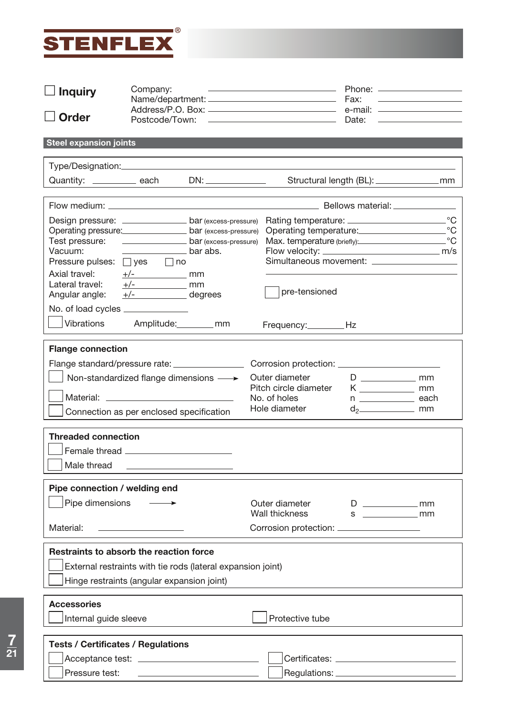

| <b>Inquiry</b>                                                                                                                                                                                                                      | Company:<br><u> 1980 - Johann Stone, mars et al. (</u> † 1920) |                                                                            |                                                                                                                      | Phone: <u>_________________</u><br>Fax:<br><u> 1989 - Andrea Station, amerikansk politik (d. 1989)</u> |                                                                                                                       |  |
|-------------------------------------------------------------------------------------------------------------------------------------------------------------------------------------------------------------------------------------|----------------------------------------------------------------|----------------------------------------------------------------------------|----------------------------------------------------------------------------------------------------------------------|--------------------------------------------------------------------------------------------------------|-----------------------------------------------------------------------------------------------------------------------|--|
| <b>Order</b>                                                                                                                                                                                                                        |                                                                |                                                                            |                                                                                                                      | Date:                                                                                                  | <u> 1989 - John Harry Harry Harry Harry Harry Harry Harry Harry Harry Harry Harry Harry Harry Harry Harry Harry H</u> |  |
| <b>Steel expansion joints</b>                                                                                                                                                                                                       |                                                                |                                                                            |                                                                                                                      |                                                                                                        |                                                                                                                       |  |
|                                                                                                                                                                                                                                     |                                                                |                                                                            |                                                                                                                      |                                                                                                        |                                                                                                                       |  |
| Quantity: ___________ each DN: ____________                                                                                                                                                                                         |                                                                |                                                                            |                                                                                                                      |                                                                                                        |                                                                                                                       |  |
|                                                                                                                                                                                                                                     |                                                                |                                                                            |                                                                                                                      |                                                                                                        |                                                                                                                       |  |
| Operating pressure: bar (excess-pressure)<br>Vacuum:<br>Pressure pulses: $\Box$ yes $\Box$ no<br>Axial travel: $\frac{+}{}$ $\frac{+}{}$ mm<br>Lateral travel: $\frac{+}{-}$ mm<br>Angular angle: $\frac{+}{}$ $\frac{-}{}$ degrees | bar abs.                                                       |                                                                            | Design pressure: _________________ bar (excess-pressure) Rating temperature: ______________________<br>pre-tensioned |                                                                                                        | $^{\circ}C$<br>$^{\circ}C$<br>$^{\circ}C$                                                                             |  |
| No. of load cycles ______________<br>Vibrations                                                                                                                                                                                     | Amplitude: _________ mm                                        |                                                                            | Frequency:__________Hz                                                                                               |                                                                                                        |                                                                                                                       |  |
| Flange standard/pressure rate: ________________<br>Connection as per enclosed specification<br><b>Threaded connection</b><br>Male thread                                                                                            | Non-standardized flange dimensions $\longrightarrow$           |                                                                            | Outer diameter<br>Pitch circle diameter<br>No. of holes<br>Hole diameter                                             | $K$ mm<br>$n \underline{\hspace{2cm}}$ each<br>$d_2$ mm                                                |                                                                                                                       |  |
| Pipe connection / welding end<br>Pipe dimensions<br>Material:                                                                                                                                                                       | the control of the control of the control of the               |                                                                            | Outer diameter<br>Wall thickness<br>Corrosion protection: ___________________                                        | s mm                                                                                                   |                                                                                                                       |  |
| Restraints to absorb the reaction force<br>External restraints with tie rods (lateral expansion joint)<br>Hinge restraints (angular expansion joint)                                                                                |                                                                |                                                                            |                                                                                                                      |                                                                                                        |                                                                                                                       |  |
| <b>Accessories</b><br>Internal guide sleeve                                                                                                                                                                                         |                                                                |                                                                            | Protective tube                                                                                                      |                                                                                                        |                                                                                                                       |  |
| <b>Tests / Certificates / Regulations</b><br>Pressure test:                                                                                                                                                                         |                                                                | the control of the control of the control of the control of the control of |                                                                                                                      |                                                                                                        |                                                                                                                       |  |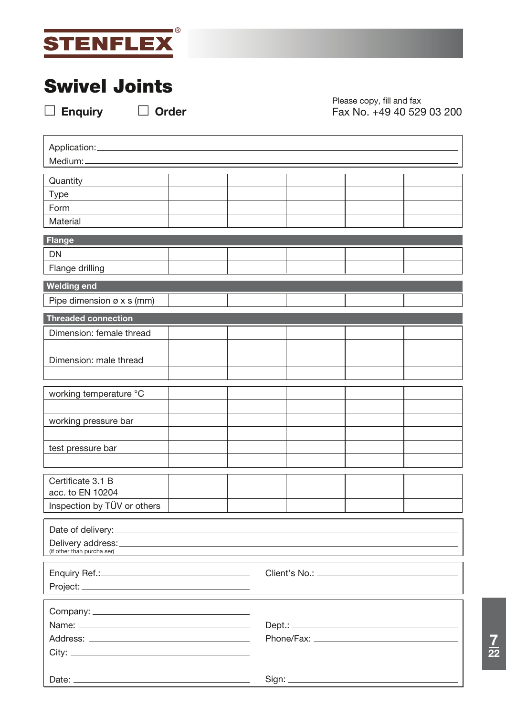

# **Swivel Joints**

**Enquiry Order**

Please copy, fill and fax Fax No. +49 40 529 03 200

| Application:<br>Medium:               |  |  |  |  |  |  |  |  |
|---------------------------------------|--|--|--|--|--|--|--|--|
|                                       |  |  |  |  |  |  |  |  |
| Quantity                              |  |  |  |  |  |  |  |  |
| <b>Type</b>                           |  |  |  |  |  |  |  |  |
| Form                                  |  |  |  |  |  |  |  |  |
| Material                              |  |  |  |  |  |  |  |  |
| Flange                                |  |  |  |  |  |  |  |  |
| <b>DN</b>                             |  |  |  |  |  |  |  |  |
| Flange drilling                       |  |  |  |  |  |  |  |  |
| <b>Welding end</b>                    |  |  |  |  |  |  |  |  |
| Pipe dimension $\varnothing$ x s (mm) |  |  |  |  |  |  |  |  |
| Threaded connection                   |  |  |  |  |  |  |  |  |
| Dimension: female thread              |  |  |  |  |  |  |  |  |
|                                       |  |  |  |  |  |  |  |  |
| Dimension: male thread                |  |  |  |  |  |  |  |  |
|                                       |  |  |  |  |  |  |  |  |
|                                       |  |  |  |  |  |  |  |  |
| working temperature °C                |  |  |  |  |  |  |  |  |
| working pressure bar                  |  |  |  |  |  |  |  |  |
|                                       |  |  |  |  |  |  |  |  |
| test pressure bar                     |  |  |  |  |  |  |  |  |
|                                       |  |  |  |  |  |  |  |  |
| Certificate 3.1 B                     |  |  |  |  |  |  |  |  |
| acc. to EN 10204                      |  |  |  |  |  |  |  |  |
| Inspection by TÜV or others           |  |  |  |  |  |  |  |  |
|                                       |  |  |  |  |  |  |  |  |
|                                       |  |  |  |  |  |  |  |  |
| (if other than purcha ser)            |  |  |  |  |  |  |  |  |
|                                       |  |  |  |  |  |  |  |  |
|                                       |  |  |  |  |  |  |  |  |
|                                       |  |  |  |  |  |  |  |  |
|                                       |  |  |  |  |  |  |  |  |
|                                       |  |  |  |  |  |  |  |  |
|                                       |  |  |  |  |  |  |  |  |
|                                       |  |  |  |  |  |  |  |  |
|                                       |  |  |  |  |  |  |  |  |
|                                       |  |  |  |  |  |  |  |  |